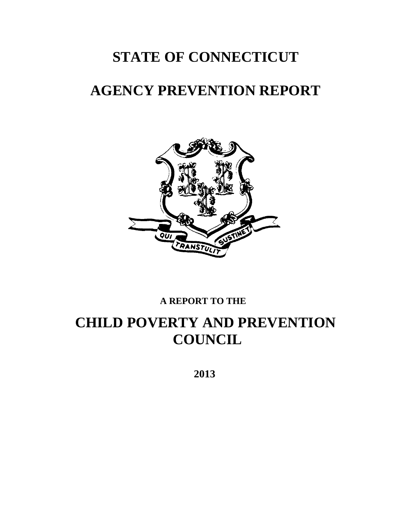# **STATE OF CONNECTICUT**

# **AGENCY PREVENTION REPORT**



# **A REPORT TO THE**

# **CHILD POVERTY AND PREVENTION COUNCIL**

 **2013**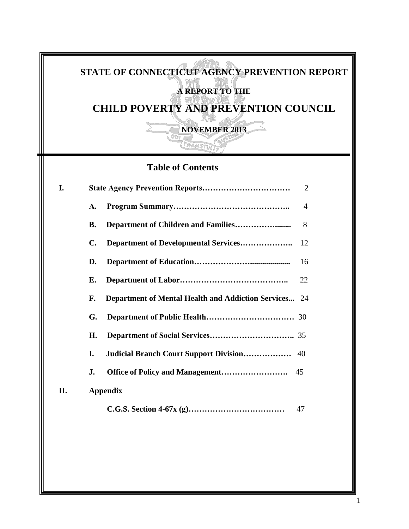# **STATE OF CONNECTICUT AGENCY PREVENTION REPORT A REPORT TO THE**

# **CHILD POVERTY AND PREVENTION COUNCIL**

**NOVEMBER 2013**

TRANSTULI

# **Table of Contents**

| I.  |                | $\overline{2}$                                               |  |  |  |
|-----|----------------|--------------------------------------------------------------|--|--|--|
|     | A.             | 4                                                            |  |  |  |
|     | <b>B.</b>      | 8                                                            |  |  |  |
|     | $\mathbf{C}$ . | 12                                                           |  |  |  |
|     | D.             | 16                                                           |  |  |  |
|     | Е.             | 22                                                           |  |  |  |
|     | F.             | <b>Department of Mental Health and Addiction Services</b> 24 |  |  |  |
|     | G.             |                                                              |  |  |  |
|     | Н.             |                                                              |  |  |  |
|     | I.             | <b>Judicial Branch Court Support Division</b><br>40          |  |  |  |
|     | J.             | 45                                                           |  |  |  |
| II. |                | <b>Appendix</b>                                              |  |  |  |
|     |                | 47                                                           |  |  |  |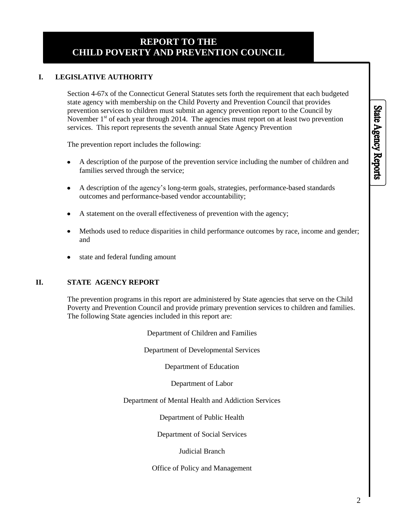# **REPORT TO THE CHILD POVERTY AND PREVENTION COUNCIL**

# **I. LEGISLATIVE AUTHORITY**

Section 4-67x of the Connecticut General Statutes sets forth the requirement that each budgeted state agency with membership on the Child Poverty and Prevention Council that provides prevention services to children must submit an agency prevention report to the Council by November  $1<sup>st</sup>$  of each year through 2014. The agencies must report on at least two prevention services. This report represents the seventh annual State Agency Prevention

The prevention report includes the following:

- A description of the purpose of the prevention service including the number of children and families served through the service;
- A description of the agency's long-term goals, strategies, performance-based standards  $\bullet$ outcomes and performance-based vendor accountability;
- A statement on the overall effectiveness of prevention with the agency;
- Methods used to reduce disparities in child performance outcomes by race, income and gender;  $\bullet$ and
- state and federal funding amount

# **II. STATE AGENCY REPORT**

The prevention programs in this report are administered by State agencies that serve on the Child Poverty and Prevention Council and provide primary prevention services to children and families. The following State agencies included in this report are:

Department of Children and Families

Department of Developmental Services

Department of Education

Department of Labor

Department of Mental Health and Addiction Services

Department of Public Health

Department of Social Services

Judicial Branch

Office of Policy and Management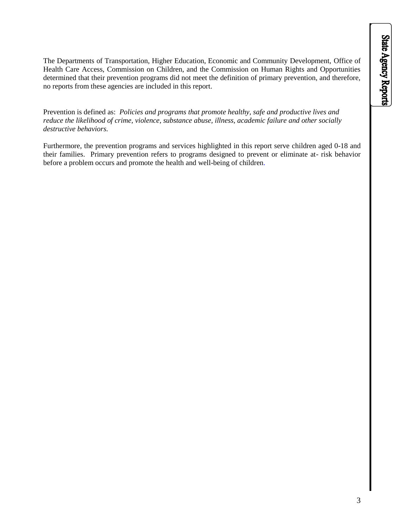The Departments of Transportation, Higher Education, Economic and Community Development, Office of Health Care Access, Commission on Children, and the Commission on Human Rights and Opportunities determined that their prevention programs did not meet the definition of primary prevention, and therefore, no reports from these agencies are included in this report.

Prevention is defined as: *Policies and programs that promote healthy, safe and productive lives and reduce the likelihood of crime, violence, substance abuse, illness, academic failure and other socially destructive behaviors.*

Furthermore, the prevention programs and services highlighted in this report serve children aged 0-18 and their families. Primary prevention refers to programs designed to prevent or eliminate at- risk behavior before a problem occurs and promote the health and well-being of children.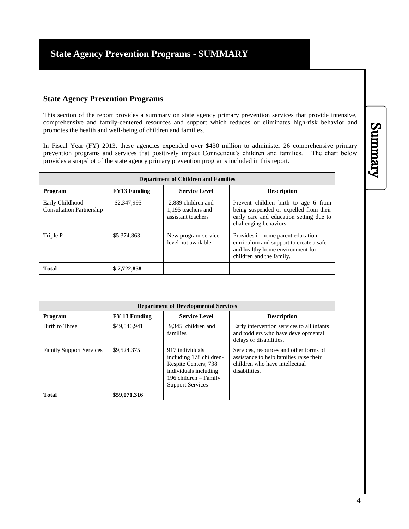# **State Agency Prevention Programs**

This section of the report provides a summary on state agency primary prevention services that provide intensive, comprehensive and family-centered resources and support which reduces or eliminates high-risk behavior and promotes the health and well-being of children and families.

In Fiscal Year (FY) 2013, these agencies expended over \$430 million to administer 26 comprehensive primary prevention programs and services that positively impact Connecticut's children and families. The chart below provides a snapshot of the state agency primary prevention programs included in this report.

| <b>Department of Children and Families</b>         |                     |                                                                |                                                                                                                                                     |  |
|----------------------------------------------------|---------------------|----------------------------------------------------------------|-----------------------------------------------------------------------------------------------------------------------------------------------------|--|
| Program                                            | <b>FY13 Funding</b> | <b>Service Level</b>                                           | <b>Description</b>                                                                                                                                  |  |
| Early Childhood<br><b>Consultation Partnership</b> | \$2,347,995         | 2.889 children and<br>1.195 teachers and<br>assistant teachers | Prevent children birth to age 6 from<br>being suspended or expelled from their<br>early care and education setting due to<br>challenging behaviors. |  |
| Triple P                                           | \$5,374,863         | New program-service<br>level not available                     | Provides in-home parent education<br>curriculum and support to create a safe<br>and healthy home environment for<br>children and the family.        |  |
| <b>Total</b>                                       | \$7,722,858         |                                                                |                                                                                                                                                     |  |

| <b>Department of Developmental Services</b> |               |                                                                                                                                                 |                                                                                                                                      |  |  |
|---------------------------------------------|---------------|-------------------------------------------------------------------------------------------------------------------------------------------------|--------------------------------------------------------------------------------------------------------------------------------------|--|--|
| Program                                     | FY 13 Funding | <b>Service Level</b>                                                                                                                            | <b>Description</b>                                                                                                                   |  |  |
| Birth to Three                              | \$49,546,941  | 9.345 children and<br>families                                                                                                                  | Early intervention services to all infants<br>and toddlers who have developmental<br>delays or disabilities.                         |  |  |
| <b>Family Support Services</b>              | \$9,524,375   | 917 individuals<br>including 178 children-<br>Respite Centers; 738<br>individuals including<br>196 children - Family<br><b>Support Services</b> | Services, resources and other forms of<br>assistance to help families raise their<br>children who have intellectual<br>disabilities. |  |  |
| <b>Total</b>                                | \$59,071,316  |                                                                                                                                                 |                                                                                                                                      |  |  |

# Summary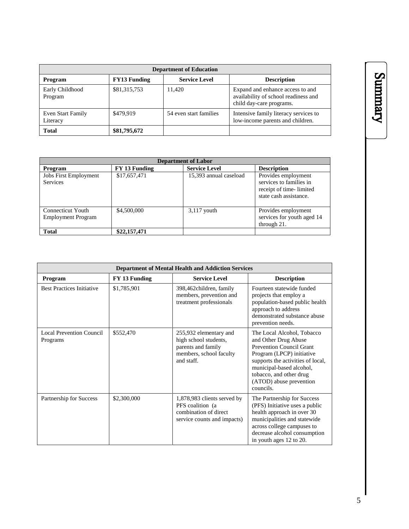| <b>Department of Education</b> |                     |                        |                                                                                                      |  |
|--------------------------------|---------------------|------------------------|------------------------------------------------------------------------------------------------------|--|
| Program                        | <b>FY13 Funding</b> | <b>Service Level</b>   | <b>Description</b>                                                                                   |  |
| Early Childhood<br>Program     | \$81,315,753        | 11.420                 | Expand and enhance access to and<br>availability of school readiness and<br>child day-care programs. |  |
| Even Start Family<br>Literacy  | \$479.919           | 54 even start families | Intensive family literacy services to<br>low-income parents and children.                            |  |
| <b>Total</b>                   | \$81,795,672        |                        |                                                                                                      |  |

| <b>Department of Labor</b>                      |               |                        |                                                                                                     |  |
|-------------------------------------------------|---------------|------------------------|-----------------------------------------------------------------------------------------------------|--|
| Program                                         | FY 13 Funding | <b>Service Level</b>   | <b>Description</b>                                                                                  |  |
| <b>Jobs First Employment</b><br><b>Services</b> | \$17,657,471  | 15,393 annual caseload | Provides employment<br>services to families in<br>receipt of time-limited<br>state cash assistance. |  |
| Connecticut Youth<br><b>Employment Program</b>  | \$4,500,000   | $3,117$ youth          | Provides employment<br>services for youth aged 14<br>through $21$ .                                 |  |
| <b>Total</b>                                    | \$22,157,471  |                        |                                                                                                     |  |

| <b>Department of Mental Health and Addiction Services</b> |               |                                                                                                                |                                                                                                                                                                                                                                                        |  |
|-----------------------------------------------------------|---------------|----------------------------------------------------------------------------------------------------------------|--------------------------------------------------------------------------------------------------------------------------------------------------------------------------------------------------------------------------------------------------------|--|
| Program                                                   | FY 13 Funding | <b>Service Level</b>                                                                                           | <b>Description</b>                                                                                                                                                                                                                                     |  |
| <b>Best Practices Initiative</b>                          | \$1,785,901   | 398,462children, family<br>members, prevention and<br>treatment professionals                                  | Fourteen statewide funded<br>projects that employ a<br>population-based public health<br>approach to address<br>demonstrated substance abuse<br>prevention needs.                                                                                      |  |
| Local Prevention Council<br>Programs                      | \$552,470     | 255,932 elementary and<br>high school students,<br>parents and family<br>members, school faculty<br>and staff. | The Local Alcohol, Tobacco<br>and Other Drug Abuse<br><b>Prevention Council Grant</b><br>Program (LPCP) initiative<br>supports the activities of local,<br>municipal-based alcohol,<br>tobacco, and other drug<br>(ATOD) abuse prevention<br>councils. |  |
| Partnership for Success                                   | \$2,300,000   | 1,878,983 clients served by<br>PFS coalition (a)<br>combination of direct<br>service counts and impacts)       | The Partnership for Success<br>(PFS) Initiative uses a public<br>health approach in over 30<br>municipalities and statewide<br>across college campuses to<br>decrease alcohol consumption<br>in youth ages 12 to 20.                                   |  |

# Summary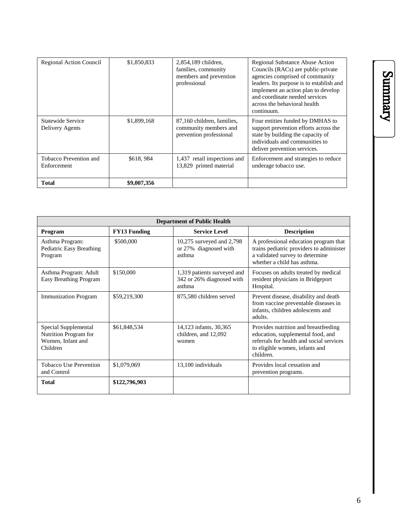| <b>Regional Action Council</b>        | \$1,850,833 | 2,854,189 children,<br>families, community<br>members and prevention<br>professional | <b>Regional Substance Abuse Action</b><br>Councils (RACs) are public-private<br>agencies comprised of community<br>leaders. Its purpose is to establish and<br>implement an action plan to develop<br>and coordinate needed services<br>across the behavioral health<br>continuum. |
|---------------------------------------|-------------|--------------------------------------------------------------------------------------|------------------------------------------------------------------------------------------------------------------------------------------------------------------------------------------------------------------------------------------------------------------------------------|
| Statewide Service<br>Delivery Agents  | \$1,899,168 | 87,160 children, families,<br>community members and<br>prevention professional       | Four entities funded by DMHAS to<br>support prevention efforts across the<br>state by building the capacity of<br>individuals and communities to<br>deliver prevention services.                                                                                                   |
| Tobacco Prevention and<br>Enforcement | \$618,984   | 1,437 retail inspections and<br>13,829 printed material                              | Enforcement and strategies to reduce<br>underage tobacco use.                                                                                                                                                                                                                      |
| <b>Total</b>                          | \$9,007,356 |                                                                                      |                                                                                                                                                                                                                                                                                    |

| <b>Department of Public Health</b>                                             |                     |                                                                    |                                                                                                                                                                      |  |
|--------------------------------------------------------------------------------|---------------------|--------------------------------------------------------------------|----------------------------------------------------------------------------------------------------------------------------------------------------------------------|--|
| <b>Program</b>                                                                 | <b>FY13 Funding</b> | <b>Service Level</b>                                               | <b>Description</b>                                                                                                                                                   |  |
| Asthma Program:<br>Pediatric Easy Breathing<br>Program                         | \$500,000           | 10,275 surveyed and 2,798<br>or 27% diagnosed with<br>asthma       | A professional education program that<br>trains pediatric providers to administer<br>a validated survey to determine<br>whether a child has asthma.                  |  |
| Asthma Program: Adult<br><b>Easy Breathing Program</b>                         | \$150,000           | 1,319 patients surveyed and<br>342 or 26% diagnosed with<br>asthma | Focuses on adults treated by medical<br>resident physicians in Bridgeport<br>Hospital.                                                                               |  |
| <b>Immunization Program</b>                                                    | \$59,219,300        | 875,580 children served                                            | Prevent disease, disability and death<br>from vaccine preventable diseases in<br>infants, children adolescents and<br>adults.                                        |  |
| Special Supplemental<br>Nutrition Program for<br>Women, Infant and<br>Children | \$61,848,534        | 14,123 infants, 30,365<br>children, and 12,092<br>women            | Provides nutrition and breastfeeding<br>education, supplemental food, and<br>referrals for health and social services<br>to eligible women, infants and<br>children. |  |
| <b>Tobacco Use Prevention</b><br>and Control                                   | \$1,079,069         | 13,100 individuals                                                 | Provides local cessation and<br>prevention programs.                                                                                                                 |  |
| <b>Total</b>                                                                   | \$122,796,903       |                                                                    |                                                                                                                                                                      |  |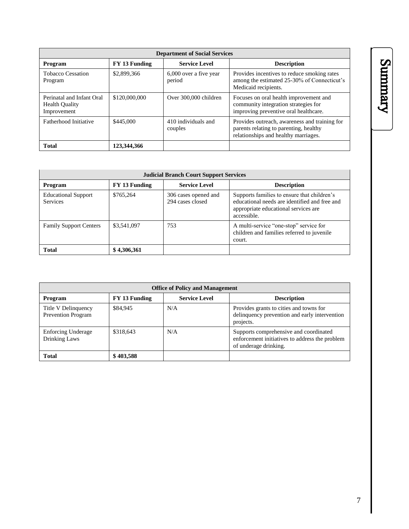| <b>Department of Social Services</b>                              |               |                                  |                                                                                                                                 |  |  |
|-------------------------------------------------------------------|---------------|----------------------------------|---------------------------------------------------------------------------------------------------------------------------------|--|--|
| Program                                                           | FY 13 Funding | <b>Service Level</b>             | <b>Description</b>                                                                                                              |  |  |
| <b>Tobacco Cessation</b><br>Program                               | \$2,899,366   | 6,000 over a five year<br>period | Provides incentives to reduce smoking rates<br>among the estimated 25-30% of Connecticut's<br>Medicaid recipients.              |  |  |
| Perinatal and Infant Oral<br><b>Health Quality</b><br>Improvement | \$120,000,000 | Over 300,000 children            | Focuses on oral health improvement and<br>community integration strategies for<br>improving preventive oral healthcare.         |  |  |
| Fatherhood Initiative                                             | \$445,000     | 410 individuals and<br>couples   | Provides outreach, awareness and training for<br>parents relating to parenting, healthy<br>relationships and healthy marriages. |  |  |
| <b>Total</b>                                                      | 123,344,366   |                                  |                                                                                                                                 |  |  |

| <b>Judicial Branch Court Support Services</b> |               |                                          |                                                                                                                                                     |  |  |
|-----------------------------------------------|---------------|------------------------------------------|-----------------------------------------------------------------------------------------------------------------------------------------------------|--|--|
| Program                                       | FY 13 Funding | <b>Service Level</b>                     | <b>Description</b>                                                                                                                                  |  |  |
| <b>Educational Support</b><br><b>Services</b> | \$765.264     | 306 cases opened and<br>294 cases closed | Supports families to ensure that children's<br>educational needs are identified and free and<br>appropriate educational services are<br>accessible. |  |  |
| <b>Family Support Centers</b>                 | \$3,541,097   | 753                                      | A multi-service "one-stop" service for<br>children and families referred to juvenile<br>court.                                                      |  |  |
| <b>Total</b>                                  | \$4,306,361   |                                          |                                                                                                                                                     |  |  |

| <b>Office of Policy and Management</b>           |               |                      |                                                                                                                   |  |
|--------------------------------------------------|---------------|----------------------|-------------------------------------------------------------------------------------------------------------------|--|
| Program                                          | FY 13 Funding | <b>Service Level</b> | <b>Description</b>                                                                                                |  |
| Title V Delinquency<br><b>Prevention Program</b> | \$84,945      | N/A                  | Provides grants to cities and towns for<br>delinquency prevention and early intervention<br>projects.             |  |
| <b>Enforcing Underage</b><br>Drinking Laws       | \$318,643     | N/A                  | Supports comprehensive and coordinated<br>enforcement initiatives to address the problem<br>of underage drinking. |  |
| <b>Total</b>                                     | \$403.588     |                      |                                                                                                                   |  |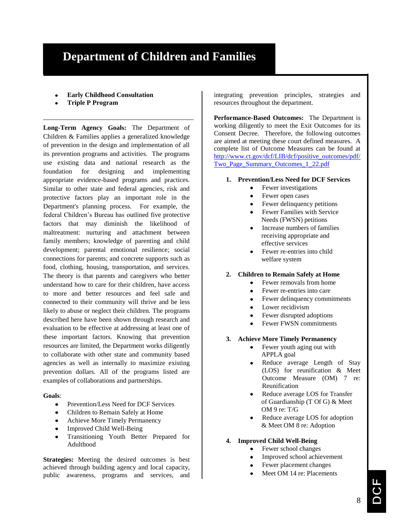# **Department of Children and Families**

- **Early Childhood Consultation**
- **Triple P Program**

**Long-Term Agency Goals:** The Department of Children & Families applies a generalized knowledge of prevention in the design and implementation of all its prevention programs and activities. The programs use existing data and national research as the foundation for designing and implementing appropriate evidence-based programs and practices. Similar to other state and federal agencies, risk and protective factors play an important role in the Department's planning process. For example, the federal Children's Bureau has outlined five protective factors that may diminish the likelihood of maltreatment: nurturing and attachment between family members; knowledge of parenting and child development; parental emotional resilience; social connections for parents; and concrete supports such as food, clothing, housing, transportation, and services. The theory is that parents and caregivers who better understand how to care for their children, have access to more and better resources and feel safe and connected to their community will thrive and be less likely to abuse or neglect their children. The programs described here have been shown through research and evaluation to be effective at addressing at least one of these important factors. Knowing that prevention resources are limited, the Department works diligently to collaborate with other state and community based agencies as well as internally to maximize existing prevention dollars. All of the programs listed are examples of collaborations and partnerships.

# **Goals**:

- Prevention/Less Need for DCF Services  $\bullet$
- Children to Remain Safely at Home
- Achieve More Timely Permanency
- Improved Child Well-Being
- Transitioning Youth Better Prepared for Adulthood

**Strategies:** Meeting the desired outcomes is best achieved through building agency and local capacity, public awareness, programs and services, and

integrating prevention principles, strategies and resources throughout the department.

**Performance-Based Outcomes:** The Department is working diligently to meet the Exit Outcomes for its Consent Decree. Therefore, the following outcomes are aimed at meeting these court defined measures. A complete list of Outcome Measures can be found at [http://www.ct.gov/dcf/LIB/dcf/positive\\_outcomes/pdf/](http://www.ct.gov/dcf/LIB/dcf/positive_outcomes/pdf/Two_Page_Summary_Outcomes_1_22.pdf) [Two\\_Page\\_Summary\\_Outcomes\\_1\\_22.pdf](http://www.ct.gov/dcf/LIB/dcf/positive_outcomes/pdf/Two_Page_Summary_Outcomes_1_22.pdf)

# **1. Prevention/Less Need for DCF Services**

- Fewer investigations  $\bullet$
- Fewer open cases
- Fewer delinquency petitions
- Fewer Families with Service Needs (FWSN) petitions
- Increase numbers of families receiving appropriate and effective services
- Fewer re-entries into child welfare system

# **2. Children to Remain Safely at Home**

- Fewer removals from home  $\bullet$
- Fewer re-entries into care
- Fewer delinquency commitments  $\bullet$
- Lower recidivism
- Fewer disrupted adoptions
- Fewer FWSN commitments
- **3. Achieve More Timely Permanency**
	- Fewer youth aging out with APPLA goal
		- Reduce average Length of Stay (LOS) for reunification & Meet Outcome Measure (OM) 7 re: Reunification
	- Reduce average LOS for Transfer of Guardianship (T Of G) & Meet OM 9 re: T/G
	- Reduce average LOS for adoption & Meet OM 8 re: Adoption
- **4. Improved Child Well-Being**
	- Fewer school changes  $\bullet$ 
		- Improved school achievement
		- Fewer placement changes
		- Meet OM 14 re: Placements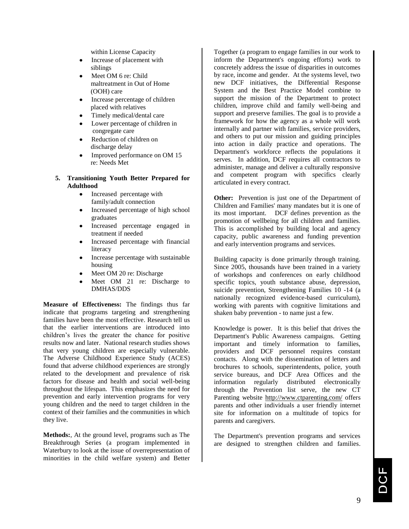within License Capacity

- Increase of placement with siblings
- Meet OM 6 re: Child maltreatment in Out of Home (OOH) care
- Increase percentage of children placed with relatives
- Timely medical/dental care
- Lower percentage of children in congregate care
- Reduction of children on discharge delay
- Improved performance on OM 15 re: Needs Met

# **5. Transitioning Youth Better Prepared for Adulthood**

- Increased percentage with  $\bullet$ family/adult connection
- Increased percentage of high school graduates
- Increased percentage engaged in treatment if needed
- Increased percentage with financial literacy
- Increase percentage with sustainable housing
- Meet OM 20 re: Discharge
- Meet OM 21 re: Discharge to DMHAS/DDS

**Measure of Effectiveness:** The findings thus far indicate that programs targeting and strengthening families have been the most effective. Research tell us that the earlier interventions are introduced into children's lives the greater the chance for positive results now and later. National research studies shows that very young children are especially vulnerable. The Adverse Childhood Experience Study (ACES) found that adverse childhood experiences are strongly related to the development and prevalence of risk factors for disease and health and social well-being throughout the lifespan. This emphasizes the need for prevention and early intervention programs for very young children and the need to target children in the context of their families and the communities in which they live.

**Methods:**, At the ground level, programs such as The Breakthrough Series (a program implemented in Waterbury to look at the issue of overrepresentation of minorities in the child welfare system) and Better

Together (a program to engage families in our work to inform the Department's ongoing efforts) work to concretely address the issue of disparities in outcomes by race, income and gender. At the systems level, two new DCF initiatives, the Differential Response System and the Best Practice Model combine to support the mission of the Department to protect children, improve child and family well-being and support and preserve families. The goal is to provide a framework for how the agency as a whole will work internally and partner with families, service providers, and others to put our mission and guiding principles into action in daily practice and operations. The Department's workforce reflects the populations it serves. In addition, DCF requires all contractors to administer, manage and deliver a culturally responsive and competent program with specifics clearly articulated in every contract.

**Other:** Prevention is just one of the Department of Children and Families' many mandates but it is one of its most important. DCF defines prevention as the promotion of wellbeing for all children and families. This is accomplished by building local and agency capacity, public awareness and funding prevention and early intervention programs and services.

Building capacity is done primarily through training. Since 2005, thousands have been trained in a variety of workshops and conferences on early childhood specific topics, youth substance abuse, depression, suicide prevention, Strengthening Families 10 -14 (a nationally recognized evidence-based curriculum), working with parents with cognitive limitations and shaken baby prevention - to name just a few.

Knowledge is power. It is this belief that drives the Department's Public Awareness campaigns. Getting important and timely information to families, providers and DCF personnel requires constant contacts. Along with the dissemination of letters and brochures to schools, superintendents, police, youth service bureaus, and DCF Area Offices and the information regularly distributed electronically through the Prevention list serve, the new CT Parenting website<http://www.ctparenting.com/> offers parents and other individuals a user friendly internet site for information on a multitude of topics for parents and caregivers.

The Department's prevention programs and services are designed to strengthen children and families.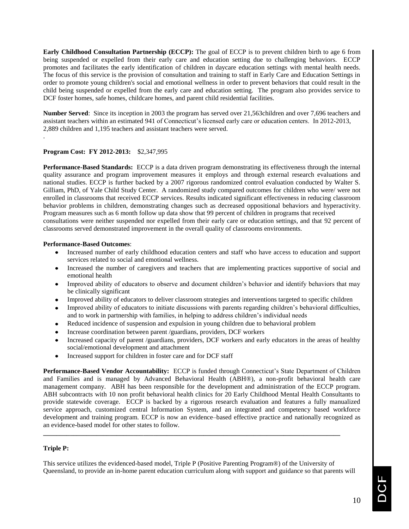**Early Childhood Consultation Partnership (ECCP):** The goal of ECCP is to prevent children birth to age 6 from being suspended or expelled from their early care and education setting due to challenging behaviors. ECCP promotes and facilitates the early identification of children in daycare education settings with mental health needs. The focus of this service is the provision of consultation and training to staff in Early Care and Education Settings in order to promote young children's social and emotional wellness in order to prevent behaviors that could result in the child being suspended or expelled from the early care and education setting. The program also provides service to DCF foster homes, safe homes, childcare homes, and parent child residential facilities.

**Number Served**: Since its inception in 2003 the program has served over 21,563children and over 7,696 teachers and assistant teachers within an estimated 941 of Connecticut's licensed early care or education centers. In 2012-2013, 2,889 children and 1,195 teachers and assistant teachers were served.

# **Program Cost: FY 2012-2013:** \$2,347,995

.

**Performance-Based Standards:** ECCP is a data driven program demonstrating its effectiveness through the internal quality assurance and program improvement measures it employs and through external research evaluations and national studies. ECCP is further backed by a 2007 rigorous randomized control evaluation conducted by Walter S. Gilliam, PhD, of Yale Child Study Center. A randomized study compared outcomes for children who were/ were not enrolled in classrooms that received ECCP services. Results indicated significant effectiveness in reducing classroom behavior problems in children, demonstrating changes such as decreased oppositional behaviors and hyperactivity. Program measures such as 6 month follow up data show that 99 percent of children in programs that received consultations were neither suspended nor expelled from their early care or education settings, and that 92 percent of classrooms served demonstrated improvement in the overall quality of classrooms environments.

# **Performance-Based Outcomes**:

- Increased number of early childhood education centers and staff who have access to education and support services related to social and emotional wellness.
- Increased the number of caregivers and teachers that are implementing practices supportive of social and emotional health
- Improved ability of educators to observe and document children's behavior and identify behaviors that may be clinically significant
- Improved ability of educators to deliver classroom strategies and interventions targeted to specific children
- Improved ability of educators to initiate discussions with parents regarding children's behavioral difficulties, and to work in partnership with families, in helping to address children's individual needs
- Reduced incidence of suspension and expulsion in young children due to behavioral problem  $\bullet$
- Increase coordination between parent /guardians, providers, DCF workers
- Increased capacity of parent /guardians, providers, DCF workers and early educators in the areas of healthy social/emotional development and attachment
- Increased support for children in foster care and for DCF staff

**Performance-Based Vendor Accountability:** ECCP is funded through Connecticut's State Department of Children and Families and is managed by Advanced Behavioral Health (ABH®), a non-profit behavioral health care management company. ABH has been responsible for the development and administration of the ECCP program. ABH subcontracts with 10 non profit behavioral health clinics for 20 Early Childhood Mental Health Consultants to provide statewide coverage. ECCP is backed by a rigorous research evaluation and features a fully manualized service approach, customized central Information System, and an integrated and competency based workforce development and training program. ECCP is now an evidence–based effective practice and nationally recognized as an evidence-based model for other states to follow.

# **Triple P:**

This service utilizes the evidenced-based model, Triple P (Positive Parenting Program®) of the University of Queensland, to provide an in-home parent education curriculum along with support and guidance so that parents will

**\_\_\_\_\_\_\_\_\_\_\_\_\_\_\_\_\_\_\_\_\_\_\_\_\_\_\_\_\_\_\_\_\_\_\_\_\_\_\_\_\_\_\_\_\_\_\_\_\_\_\_\_\_\_\_\_\_\_\_\_\_\_\_\_\_\_\_\_\_\_\_\_\_\_\_\_\_\_\_\_\_\_\_\_\_\_\_\_\_**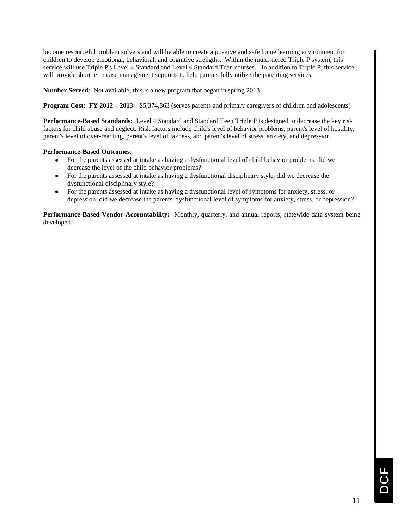become resourceful problem solvers and will be able to create a positive and safe home learning environment for children to develop emotional, behavioral, and cognitive strengths. Within the multi-tiered Triple P system, this service will use Triple P's Level 4 Standard and Level 4 Standard Teen courses. In addition to Triple P*,* this service will provide short term case management supports to help parents fully utilize the parenting services.

**Number Served**: Not available; this is a new program that began in spring 2013.

**Program Cost: FY 2012 – 2013** \$5,374,863 (serves parents and primary caregivers of children and adolescents)

**Performance-Based Standards:** Level 4 Standard and Standard Teen Triple P is designed to decrease the key risk factors for child abuse and neglect. Risk factors include child's level of behavior problems, parent's level of hostility, parent's level of over-reacting, parent's level of laxness, and parent's level of stress, anxiety, and depression.

# **Performance-Based Outcomes**:

- For the parents assessed at intake as having a dysfunctional level of child behavior problems, did we  $\bullet$ decrease the level of the child behavior problems?
- For the parents assessed at intake as having a dysfunctional disciplinary style, did we decrease the dysfunctional disciplinary style?
- For the parents assessed at intake as having a dysfunctional level of symptoms for anxiety, stress, or  $\bullet$ depression, did we decrease the parents' dysfunctional level of symptoms for anxiety, stress, or depression?

**Performance-Based Vendor Accountability:** Monthly, quarterly, and annual reports; statewide data system being developed.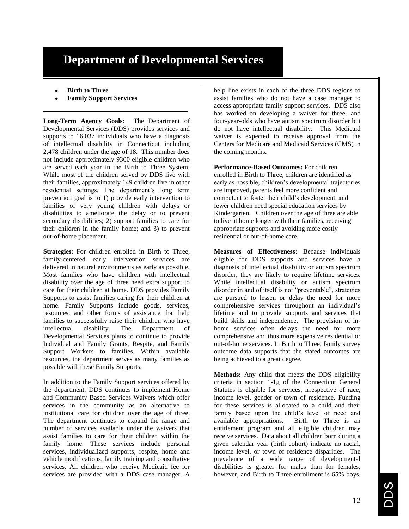# **Department of Developmental Services**

- **Birth to Three**
- **Family Support Services**

**Long-Term Agency Goals**: The Department of Developmental Services (DDS) provides services and supports to 16,037 individuals who have a diagnosis of intellectual disability in Connecticut including 2,478 children under the age of 18. This number does not include approximately 9300 eligible children who are served each year in the Birth to Three System. While most of the children served by DDS live with their families, approximately 149 children live in other residential settings. The department's long term prevention goal is to 1) provide early intervention to families of very young children with delays or disabilities to ameliorate the delay or to prevent secondary disabilities; 2) support families to care for their children in the family home; and 3) to prevent out-of-home placement.

**Strategies**: For children enrolled in Birth to Three, family-centered early intervention services are delivered in natural environments as early as possible. Most families who have children with intellectual disability over the age of three need extra support to care for their children at home. DDS provides Family Supports to assist families caring for their children at home. Family Supports include goods, services, resources, and other forms of assistance that help families to successfully raise their children who have intellectual disability. The Department of Developmental Services plans to continue to provide Individual and Family Grants, Respite, and Family Support Workers to families. Within available resources, the department serves as many families as possible with these Family Supports.

In addition to the Family Support services offered by the department, DDS continues to implement Home and Community Based Services Waivers which offer services in the community as an alternative to institutional care for children over the age of three. The department continues to expand the range and number of services available under the waivers that assist families to care for their children within the family home. These services include personal services, individualized supports, respite, home and vehicle modifications, family training and consultative services. All children who receive Medicaid fee for services are provided with a DDS case manager. A

help line exists in each of the three DDS regions to assist families who do not have a case manager to access appropriate family support services. DDS also has worked on developing a waiver for three- and four-year-olds who have autism spectrum disorder but do not have intellectual disability. This Medicaid waiver is expected to receive approval from the Centers for Medicare and Medicaid Services (CMS) in the coming months**.**

**Performance-Based Outcomes:** For children enrolled in Birth to Three, children are identified as early as possible, children's developmental trajectories are improved, parents feel more confident and competent to foster their child's development, and fewer children need special education services by Kindergarten. Children over the age of three are able to live at home longer with their families, receiving appropriate supports and avoiding more costly residential or out-of-home care.

**Measures of Effectiveness:** Because individuals eligible for DDS supports and services have a diagnosis of intellectual disability or autism spectrum disorder, they are likely to require lifetime services. While intellectual disability or autism spectrum disorder in and of itself is not "preventable", strategies are pursued to lessen or delay the need for more comprehensive services throughout an individual's lifetime and to provide supports and services that build skills and independence. The provision of inhome services often delays the need for more comprehensive and thus more expensive residential or out-of-home services. In Birth to Three, family survey outcome data supports that the stated outcomes are being achieved to a great degree.

**Methods:** Any child that meets the DDS eligibility criteria in section 1-1g of the Connecticut General Statutes is eligible for services, irrespective of race, income level, gender or town of residence. Funding for these services is allocated to a child and their family based upon the child's level of need and available appropriations. Birth to Three is an entitlement program and all eligible children may receive services. Data about all children born during a given calendar year (birth cohort) indicate no racial, income level, or town of residence disparities. The prevalence of a wide range of developmental disabilities is greater for males than for females, however, and Birth to Three enrollment is 65% boys.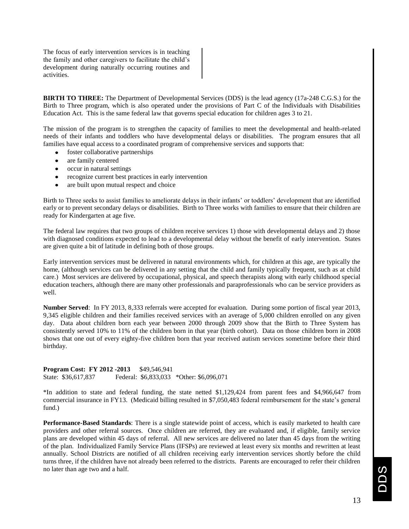The focus of early intervention services is in teaching the family and other caregivers to facilitate the child's development during naturally occurring routines and activities.

**BIRTH TO THREE:** The Department of Developmental Services (DDS) is the lead agency (17a-248 C.G.S.) for the Birth to Three program, which is also operated under the provisions of Part C of the Individuals with Disabilities Education Act. This is the same federal law that governs special education for children ages 3 to 21.

The mission of the program is to strengthen the capacity of families to meet the developmental and health-related needs of their infants and toddlers who have developmental delays or disabilities. The program ensures that all families have equal access to a coordinated program of comprehensive services and supports that:

- foster collaborative partnerships
- are family centered
- occur in natural settings
- recognize current best practices in early intervention
- are built upon mutual respect and choice

Birth to Three seeks to assist families to ameliorate delays in their infants' or toddlers' development that are identified early or to prevent secondary delays or disabilities. Birth to Three works with families to ensure that their children are ready for Kindergarten at age five.

The federal law requires that two groups of children receive services 1) those with developmental delays and 2) those with diagnosed conditions expected to lead to a developmental delay without the benefit of early intervention. States are given quite a bit of latitude in defining both of those groups.

Early intervention services must be delivered in natural environments which, for children at this age, are typically the home, (although services can be delivered in any setting that the child and family typically frequent, such as at child care.) Most services are delivered by occupational, physical, and speech therapists along with early childhood special education teachers, although there are many other professionals and paraprofessionals who can be service providers as well.

**Number Served**: In FY 2013, 8,333 referrals were accepted for evaluation. During some portion of fiscal year 2013, 9,345 eligible children and their families received services with an average of 5,000 children enrolled on any given day. Data about children born each year between 2000 through 2009 show that the Birth to Three System has consistently served 10% to 11% of the children born in that year (birth cohort). Data on those children born in 2008 shows that one out of every eighty-five children born that year received autism services sometime before their third birthday.

**Program Cost: FY 2012 -2013** \$49,546,941 State: \$36,617,837 Federal: \$6,833,033 \*Other: \$6,096,071

\*In addition to state and federal funding, the state netted \$1,129,424 from parent fees and \$4,966,647 from commercial insurance in FY13. (Medicaid billing resulted in \$7,050,483 federal reimbursement for the state's general fund.)

**Performance-Based Standards**: There is a single statewide point of access, which is easily marketed to health care providers and other referral sources. Once children are referred, they are evaluated and, if eligible, family service plans are developed within 45 days of referral. All new services are delivered no later than 45 days from the writing of the plan. Individualized Family Service Plans (IFSPs) are reviewed at least every six months and rewritten at least annually. School Districts are notified of all children receiving early intervention services shortly before the child turns three, if the children have not already been referred to the districts. Parents are encouraged to refer their children no later than age two and a half.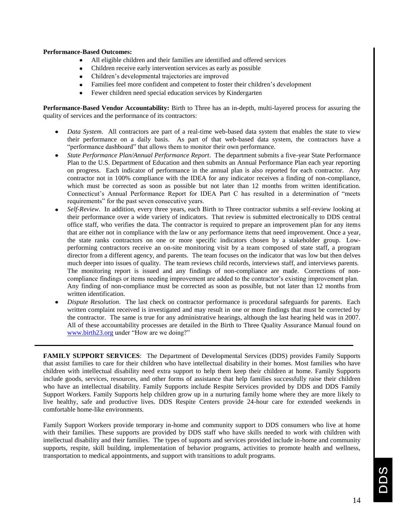# **Performance-Based Outcomes:**

- All eligible children and their families are identified and offered services
- Children receive early intervention services as early as possible
- Children's developmental trajectories are improved
- Families feel more confident and competent to foster their children's development
- Fewer children need special education services by Kindergarten

**Performance-Based Vendor Accountability:** Birth to Three has an in-depth, multi-layered process for assuring the quality of services and the performance of its contractors:

- *Data System*. All contractors are part of a real-time web-based data system that enables the state to view their performance on a daily basis. As part of that web-based data system, the contractors have a "performance dashboard" that allows them to monitor their own performance.
- *State Performance Plan/Annual Performance Report*. The department submits a five-year State Performance Plan to the U.S. Department of Education and then submits an Annual Performance Plan each year reporting on progress. Each indicator of performance in the annual plan is also reported for each contractor. Any contractor not in 100% compliance with the IDEA for any indicator receives a finding of non-compliance, which must be corrected as soon as possible but not later than 12 months from written identification. Connecticut's Annual Performance Report for IDEA Part C has resulted in a determination of "meets" requirements" for the past seven consecutive years.
- *Self-Review*. In addition, every three years, each Birth to Three contractor submits a self-review looking at their performance over a wide variety of indicators. That review is submitted electronically to DDS central office staff, who verifies the data. The contractor is required to prepare an improvement plan for any items that are either not in compliance with the law or any performance items that need improvement. Once a year, the state ranks contractors on one or more specific indicators chosen by a stakeholder group. Lowperforming contractors receive an on-site monitoring visit by a team composed of state staff, a program director from a different agency, and parents. The team focuses on the indicator that was low but then delves much deeper into issues of quality. The team reviews child records, interviews staff, and interviews parents. The monitoring report is issued and any findings of non-compliance are made. Corrections of noncompliance findings or items needing improvement are added to the contractor's existing improvement plan. Any finding of non-compliance must be corrected as soon as possible, but not later than 12 months from written identification.
- *Dispute Resolution*. The last check on contractor performance is procedural safeguards for parents. Each written complaint received is investigated and may result in one or more findings that must be corrected by the contractor. The same is true for any administrative hearings, although the last hearing held was in 2007. All of these accountability processes are detailed in the Birth to Three Quality Assurance Manual found on [www.birth23.org](http://www.birth23.org/) under "How are we doing?"

**FAMILY SUPPORT SERVICES**: The Department of Developmental Services (DDS) provides Family Supports that assist families to care for their children who have intellectual disability in their homes. Most families who have children with intellectual disability need extra support to help them keep their children at home. Family Supports include goods, services, resources, and other forms of assistance that help families successfully raise their children who have an intellectual disability. Family Supports include Respite Services provided by DDS and DDS Family Support Workers. Family Supports help children grow up in a nurturing family home where they are more likely to live healthy, safe and productive lives. DDS Respite Centers provide 24-hour care for extended weekends in comfortable home-like environments.

Family Support Workers provide temporary in-home and community support to DDS consumers who live at home with their families. These supports are provided by DDS staff who have skills needed to work with children with intellectual disability and their families. The types of supports and services provided include in-home and community supports, respite, skill building, implementation of behavior programs, activities to promote health and wellness, transportation to medical appointments, and support with transitions to adult programs.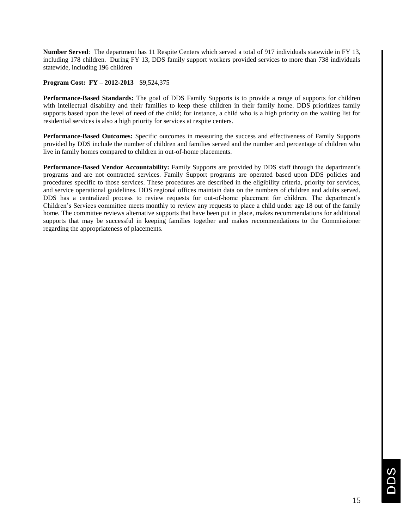**Number Served**: The department has 11 Respite Centers which served a total of 917 individuals statewide in FY 13, including 178 children. During FY 13, DDS family support workers provided services to more than 738 individuals statewide, including 196 children

# **Program Cost: FY – 2012-2013** \$9,524,375

**Performance-Based Standards:** The goal of DDS Family Supports is to provide a range of supports for children with intellectual disability and their families to keep these children in their family home. DDS prioritizes family supports based upon the level of need of the child; for instance, a child who is a high priority on the waiting list for residential services is also a high priority for services at respite centers.

**Performance-Based Outcomes:** Specific outcomes in measuring the success and effectiveness of Family Supports provided by DDS include the number of children and families served and the number and percentage of children who live in family homes compared to children in out-of-home placements.

**Performance-Based Vendor Accountability:** Family Supports are provided by DDS staff through the department's programs and are not contracted services. Family Support programs are operated based upon DDS policies and procedures specific to those services. These procedures are described in the eligibility criteria, priority for services, and service operational guidelines. DDS regional offices maintain data on the numbers of children and adults served. DDS has a centralized process to review requests for out-of-home placement for children. The department's Children's Services committee meets monthly to review any requests to place a child under age 18 out of the family home. The committee reviews alternative supports that have been put in place, makes recommendations for additional supports that may be successful in keeping families together and makes recommendations to the Commissioner regarding the appropriateness of placements.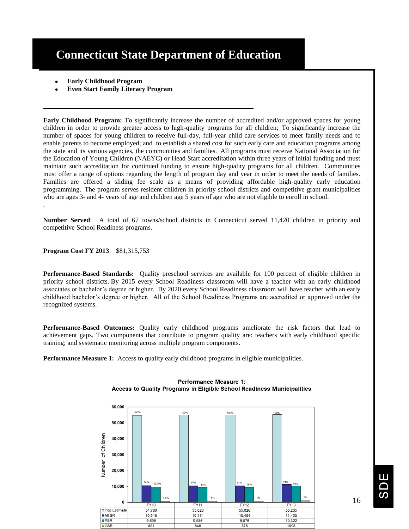# **Connecticut State Department of Education**

- **Early Childhood Program**
- **Even Start Family Literacy Program**

**Early Childhood Program:** To significantly increase the number of accredited and/or approved spaces for young children in order to provide greater access to high-quality programs for all children; To significantly increase the number of spaces for young children to receive full-day, full-year child care services to meet family needs and to enable parents to become employed; and to establish a shared cost for such early care and education programs among the state and its various agencies, the communities and families. All programs must receive National Association for the Education of Young Children (NAEYC) or Head Start accreditation within three years of initial funding and must maintain such accreditation for continued funding to ensure high-quality programs for all children. Communities must offer a range of options regarding the length of program day and year in order to meet the needs of families. Families are offered a sliding fee scale as a means of providing affordable high-quality early education programming. The program serves resident children in priority school districts and competitive grant municipalities who are ages 3- and 4- years of age and children age 5 years of age who are not eligible to enroll in school. .

**Number Served**: A total of 67 towns/school districts in Connecticut served 11,420 children in priority and competitive School Readiness programs.

**Program Cost FY 2013**: \$81,315,753

**Performance-Based Standards:** Quality preschool services are available for 100 percent of eligible children in priority school districts. By 2015 every School Readiness classroom will have a teacher with an early childhood associates or bachelor's degree or higher. By 2020 every School Readiness classroom will have teacher with an early childhood bachelor's degree or higher. All of the School Readiness Programs are accredited or approved under the recognized systems.

**Performance-Based Outcomes:** Quality early childhood programs ameliorate the risk factors that lead to achievement gaps. Two components that contribute to program quality are: teachers with early childhood specific training; and systematic monitoring across multiple program components.

**Performance Measure 1:** Access to quality early childhood programs in eligible municipalities.



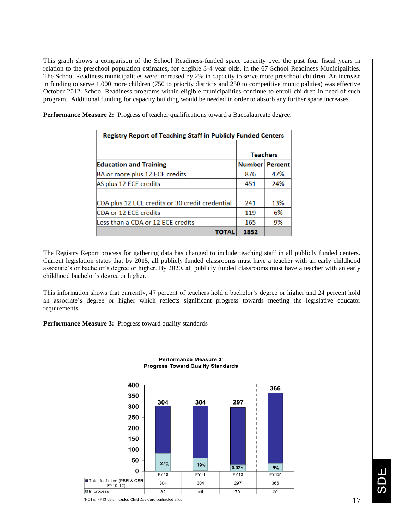This graph shows a comparison of the School Readiness-funded space capacity over the past four fiscal years in relation to the preschool population estimates, for eligible 3-4 year olds, in the 67 School Readiness Municipalities. The School Readiness municipalities were increased by 2% in capacity to serve more preschool children. An increase in funding to serve 1,000 more children (750 to priority districts and 250 to competitive municipalities) was effective October 2012. School Readiness programs within eligible municipalities continue to enroll children in need of such program. Additional funding for capacity building would be needed in order to absorb any further space increases.

**Performance Measure 2:** Progress of teacher qualifications toward a Baccalaureate degree.

| Registry Report of Teaching Staff in Publicly Funded Centers |                  |     |  |
|--------------------------------------------------------------|------------------|-----|--|
|                                                              | <b>Teachers</b>  |     |  |
| <b>Education and Training</b>                                | Number   Percent |     |  |
| BA or more plus 12 ECE credits                               | 876              | 47% |  |
| AS plus 12 ECE credits                                       | 451              | 24% |  |
|                                                              |                  |     |  |
| CDA plus 12 ECE credits or 30 credit credential              | 241              | 13% |  |
| CDA or 12 ECE credits                                        | 119              | 6%  |  |
| Less than a CDA or 12 ECE credits                            | 165              | 9%  |  |
| ΤΟΤΑΙ                                                        | 1852             |     |  |

The Registry Report process for gathering data has changed to include teaching staff in all publicly funded centers. Current legislation states that by 2015, all publicly funded classrooms must have a teacher with an early childhood associate's or bachelor's degree or higher. By 2020, all publicly funded classrooms must have a teacher with an early childhood bachelor's degree or higher.

This information shows that currently, 47 percent of teachers hold a bachelor's degree or higher and 24 percent hold an associate's degree or higher which reflects significant progress towards meeting the legislative educator requirements.

**Performance Measure 3:** Progress toward quality standards



### **Performance Measure 3: Progress Toward Quality Standards**

\*NOTE: FY13 data includes Child Day Care contracted sites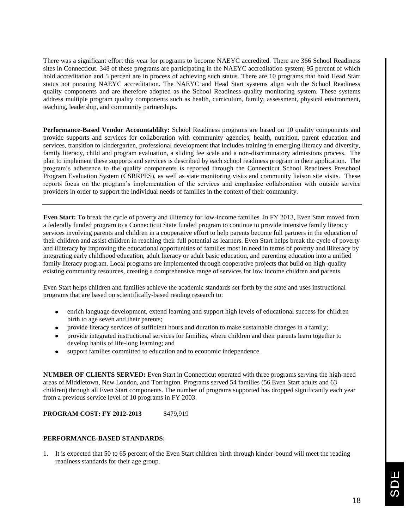There was a significant effort this year for programs to become NAEYC accredited. There are 366 School Readiness sites in Connecticut. 348 of these programs are participating in the NAEYC accreditation system; 95 percent of which hold accreditation and 5 percent are in process of achieving such status. There are 10 programs that hold Head Start status not pursuing NAEYC accreditation. The NAEYC and Head Start systems align with the School Readiness quality components and are therefore adopted as the School Readiness quality monitoring system. These systems address multiple program quality components such as health, curriculum, family, assessment, physical environment, teaching, leadership, and community partnerships.

**Performance-Based Vendor Accountablilty:** School Readiness programs are based on 10 quality components and provide supports and services for collaboration with community agencies, health, nutrition, parent education and services, transition to kindergarten, professional development that includes training in emerging literacy and diversity, family literacy, child and program evaluation, a sliding fee scale and a non-discriminatory admissions process. The plan to implement these supports and services is described by each school readiness program in their application. The program's adherence to the quality components is reported through the Connecticut School Readiness Preschool Program Evaluation System (CSRRPES), as well as state monitoring visits and community liaison site visits. These reports focus on the program's implementation of the services and emphasize collaboration with outside service providers in order to support the individual needs of families in the context of their community.

**Even Start:** To break the cycle of poverty and illiteracy for low-income families. In FY 2013, Even Start moved from a federally funded program to a Connecticut State funded program to continue to provide intensive family literacy services involving parents and children in a cooperative effort to help parents become full partners in the education of their children and assist children in reaching their full potential as learners. Even Start helps break the cycle of poverty and illiteracy by improving the educational opportunities of families most in need in terms of poverty and illiteracy by integrating early childhood education, adult literacy or adult basic education, and parenting education into a unified family literacy program. Local programs are implemented through cooperative projects that build on high-quality existing community resources, creating a comprehensive range of services for low income children and parents.

Even Start helps children and families achieve the academic standards set forth by the state and uses instructional programs that are based on scientifically-based reading research to:

- enrich language development, extend learning and support high levels of educational success for children birth to age seven and their parents;
- provide literacy services of sufficient hours and duration to make sustainable changes in a family;
- provide integrated instructional services for families, where children and their parents learn together to develop habits of life-long learning; and
- support families committed to education and to economic independence.

**NUMBER OF CLIENTS SERVED:** Even Start in Connecticut operated with three programs serving the high-need areas of Middletown, New London, and Torrington. Programs served 54 families (56 Even Start adults and 63 children) through all Even Start components. The number of programs supported has dropped significantly each year from a previous service level of 10 programs in FY 2003.

**PROGRAM COST: FY 2012-2013** \$479,919

# **PERFORMANCE-BASED STANDARDS:**

1. It is expected that 50 to 65 percent of the Even Start children birth through kinder-bound will meet the reading readiness standards for their age group.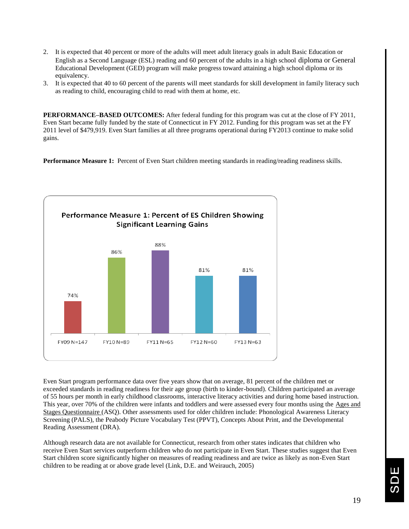- 2. It is expected that 40 percent or more of the adults will meet adult literacy goals in adult Basic Education or English as a Second Language (ESL) reading and 60 percent of the adults in a high school diploma or General Educational Development (GED) program will make progress toward attaining a high school diploma or its equivalency.
- 3. It is expected that 40 to 60 percent of the parents will meet standards for skill development in family literacy such as reading to child, encouraging child to read with them at home, etc.

**PERFORMANCE–BASED OUTCOMES:** After federal funding for this program was cut at the close of FY 2011, Even Start became fully funded by the state of Connecticut in FY 2012. Funding for this program was set at the FY 2011 level of \$479,919. Even Start families at all three programs operational during FY2013 continue to make solid gains.

**Performance Measure 1:** Percent of Even Start children meeting standards in reading/reading readiness skills.



Even Start program performance data over five years show that on average, 81 percent of the children met or exceeded standards in reading readiness for their age group (birth to kinder-bound). Children participated an average of 55 hours per month in early childhood classrooms, interactive literacy activities and during home based instruction. This year, over 70% of the children were infants and toddlers and were assessed every four months using the Ages and Stages Questionnaire (ASQ). Other assessments used for older children include: Phonological Awareness Literacy Screening (PALS), the Peabody Picture Vocabulary Test (PPVT), Concepts About Print, and the Developmental Reading Assessment (DRA).

Although research data are not available for Connecticut, research from other states indicates that children who receive Even Start services outperform children who do not participate in Even Start. These studies suggest that Even Start children score significantly higher on measures of reading readiness and are twice as likely as non-Even Start children to be reading at or above grade level (Link, D.E. and Weirauch, 2005)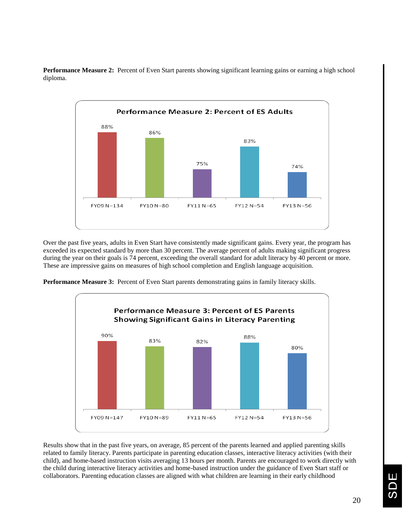

**Performance Measure 2:** Percent of Even Start parents showing significant learning gains or earning a high school diploma.

Over the past five years, adults in Even Start have consistently made significant gains. Every year, the program has exceeded its expected standard by more than 30 percent. The average percent of adults making significant progress during the year on their goals is 74 percent, exceeding the overall standard for adult literacy by 40 percent or more. These are impressive gains on measures of high school completion and English language acquisition.

**Performance Measure 3:** Percent of Even Start parents demonstrating gains in family literacy skills.



Results show that in the past five years, on average, 85 percent of the parents learned and applied parenting skills related to family literacy. Parents participate in parenting education classes, interactive literacy activities (with their child), and home-based instruction visits averaging 13 hours per month. Parents are encouraged to work directly with the child during interactive literacy activities and home-based instruction under the guidance of Even Start staff or collaborators. Parenting education classes are aligned with what children are learning in their early childhood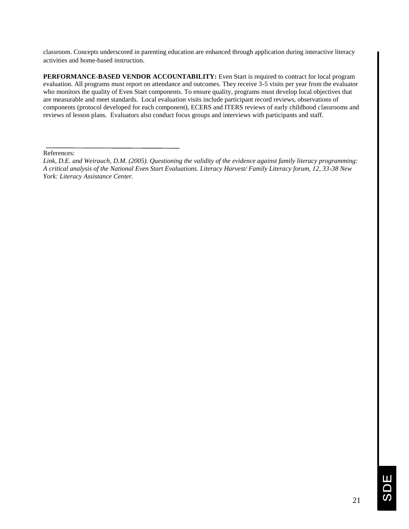classroom. Concepts underscored in parenting education are enhanced through application during interactive literacy activities and home-based instruction.

**PERFORMANCE-BASED VENDOR ACCOUNTABILITY:** Even Start is required to contract for local program evaluation. All programs must report on attendance and outcomes. They receive 3-5 visits per year from the evaluator who monitors the quality of Even Start components. To ensure quality, programs must develop local objectives that are measurable and meet standards. Local evaluation visits include participant record reviews, observations of components (protocol developed for each component), ECERS and ITERS reviews of early childhood classrooms and reviews of lesson plans. Evaluators also conduct focus groups and interviews with participants and staff.

References:

*Link, D.E. and Weirauch, D.M. (2005). Questioning the validity of the evidence against family literacy programming: A critical analysis of the National Even Start Evaluations. Literacy Harvest/ Family Literacy forum, 12, 33-38 New York: Literacy Assistance Center.*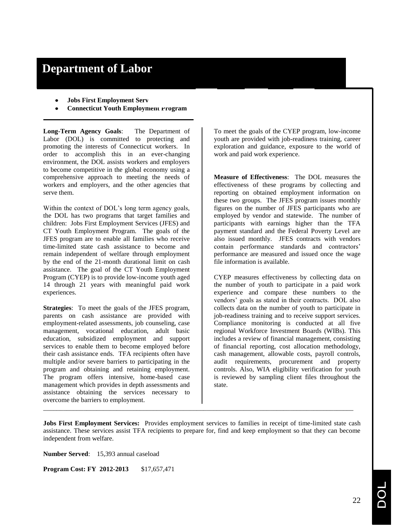# **Department of Labor**

- **Jobs First Employment Serv**
- **Connecticut Youth Employment Program**

**Long-Term Agency Goals**: The Department of Labor (DOL) is committed to protecting and promoting the interests of Connecticut workers. In order to accomplish this in an ever-changing environment, the DOL assists workers and employers to become competitive in the global economy using a comprehensive approach to meeting the needs of workers and employers, and the other agencies that serve them.

Within the context of DOL's long term agency goals, the DOL has two programs that target families and children: Jobs First Employment Services (JFES) and CT Youth Employment Program. The goals of the JFES program are to enable all families who receive time-limited state cash assistance to become and remain independent of welfare through employment by the end of the 21-month durational limit on cash assistance. The goal of the CT Youth Employment Program (CYEP) is to provide low-income youth aged 14 through 21 years with meaningful paid work experiences.

**Strategies**: To meet the goals of the JFES program, parents on cash assistance are provided with employment-related assessments, job counseling, case management, vocational education, adult basic education, subsidized employment and support services to enable them to become employed before their cash assistance ends. TFA recipients often have multiple and/or severe barriers to participating in the program and obtaining and retaining employment. The program offers intensive, home-based case management which provides in depth assessments and assistance obtaining the services necessary to overcome the barriers to employment.

To meet the goals of the CYEP program, low-income youth are provided with job-readiness training, career exploration and guidance, exposure to the world of work and paid work experience.

**Measure of Effectiveness**: The DOL measures the effectiveness of these programs by collecting and reporting on obtained employment information on these two groups. The JFES program issues monthly figures on the number of JFES participants who are employed by vendor and statewide. The number of participants with earnings higher than the TFA payment standard and the Federal Poverty Level are also issued monthly. JFES contracts with vendors contain performance standards and contractors' performance are measured and issued once the wage file information is available.

CYEP measures effectiveness by collecting data on the number of youth to participate in a paid work experience and compare these numbers to the vendors' goals as stated in their contracts. DOL also collects data on the number of youth to participate in job-readiness training and to receive support services. Compliance monitoring is conducted at all five regional Workforce Investment Boards (WIBs). This includes a review of financial management, consisting of financial reporting, cost allocation methodology, cash management, allowable costs, payroll controls, audit requirements, procurement and property controls. Also, WIA eligibility verification for youth is reviewed by sampling client files throughout the state.

**Jobs First Employment Services:** Provides employment services to families in receipt of time-limited state cash assistance. These services assist TFA recipients to prepare for, find and keep employment so that they can become independent from welfare.

\_\_\_\_\_\_\_\_\_\_\_\_\_\_\_\_\_\_\_\_\_\_\_\_\_\_\_\_\_\_\_\_\_\_\_\_\_\_\_\_\_\_\_\_\_\_\_\_\_\_\_\_\_\_\_\_\_\_\_\_\_\_\_\_\_\_\_\_\_\_\_\_\_\_\_\_\_\_\_\_\_\_\_\_\_\_\_\_\_\_\_\_\_

**Number Served**: 15,393 annual caseload

**Program Cost: FY 2012-2013** \$17,657,471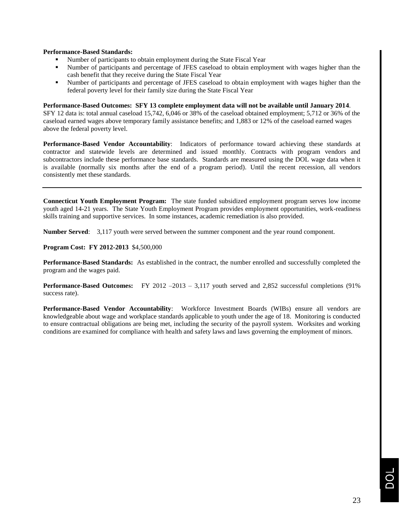# **Performance-Based Standards:**

- Number of participants to obtain employment during the State Fiscal Year
- Number of participants and percentage of JFES caseload to obtain employment with wages higher than the cash benefit that they receive during the State Fiscal Year
- Number of participants and percentage of JFES caseload to obtain employment with wages higher than the federal poverty level for their family size during the State Fiscal Year

# **Performance-Based Outcomes: SFY 13 complete employment data will not be available until January 2014**.

SFY 12 data is: total annual caseload 15,742, 6,046 or 38% of the caseload obtained employment; 5,712 or 36% of the caseload earned wages above temporary family assistance benefits; and 1,883 or 12% of the caseload earned wages above the federal poverty level.

**Performance-Based Vendor Accountability**: Indicators of performance toward achieving these standards at contractor and statewide levels are determined and issued monthly. Contracts with program vendors and subcontractors include these performance base standards. Standards are measured using the DOL wage data when it is available (normally six months after the end of a program period). Until the recent recession, all vendors consistently met these standards.

**Connecticut Youth Employment Program:** The state funded subsidized employment program serves low income youth aged 14-21 years. The State Youth Employment Program provides employment opportunities, work-readiness skills training and supportive services. In some instances, academic remediation is also provided.

**Number Served**: 3,117 youth were served between the summer component and the year round component.

**Program Cost: FY 2012-2013** \$4,500,000

**Performance-Based Standards:** As established in the contract, the number enrolled and successfully completed the program and the wages paid.

**Performance-Based Outcomes:** FY 2012 –2013 – 3,117 youth served and 2,852 successful completions (91% success rate).

**Performance-Based Vendor Accountability**: Workforce Investment Boards (WIBs) ensure all vendors are knowledgeable about wage and workplace standards applicable to youth under the age of 18. Monitoring is conducted to ensure contractual obligations are being met, including the security of the payroll system. Worksites and working conditions are examined for compliance with health and safety laws and laws governing the employment of minors.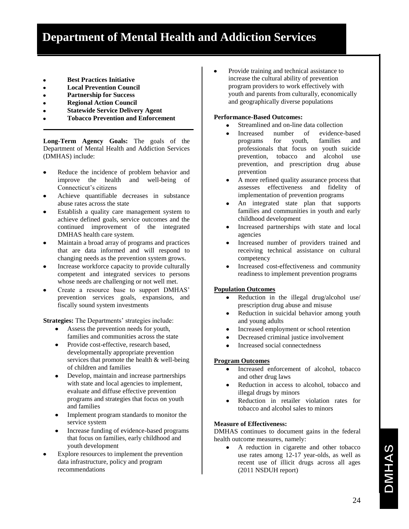- **Best Practices Initiative**
- **Local Prevention Council**
- **Partnership for Success**
- **Regional Action Council**
- **Statewide Service Delivery Agent**
- **Tobacco Prevention and Enforcement**

**Long-Term Agency Goals:** The goals of the Department of Mental Health and Addiction Services (DMHAS) include:

- Reduce the incidence of problem behavior and improve the health and well-being of Connecticut's citizens
- Achieve quantifiable decreases in substance abuse rates across the state
- Establish a quality care management system to achieve defined goals, service outcomes and the continued improvement of the integrated DMHAS health care system.
- Maintain a broad array of programs and practices that are data informed and will respond to changing needs as the prevention system grows.
- Increase workforce capacity to provide culturally competent and integrated services to persons whose needs are challenging or not well met.
- Create a resource base to support DMHAS' prevention services goals, expansions, and fiscally sound system investments

**Strategies:** The Departments' strategies include:

- Assess the prevention needs for youth, families and communities across the state
- Provide cost-effective, research based, developmentally appropriate prevention services that promote the health & well-being of children and families
- Develop, maintain and increase partnerships with state and local agencies to implement, evaluate and diffuse effective prevention programs and strategies that focus on youth and families
- Implement program standards to monitor the service system
- Increase funding of evidence-based programs that focus on families, early childhood and youth development
- Explore resources to implement the prevention data infrastructure, policy and program recommendations

Provide training and technical assistance to increase the cultural ability of prevention program providers to work effectively with youth and parents from culturally, economically and geographically diverse populations

# **Performance-Based Outcomes:**

- Streamlined and on-line data collection  $\bullet$
- Increased number of evidence-based programs for youth, families and professionals that focus on youth suicide prevention, tobacco and alcohol use prevention, and prescription drug abuse prevention
- A more refined quality assurance process that  $\bullet$ assesses effectiveness and fidelity of implementation of prevention programs
- An integrated state plan that supports  $\bullet$ families and communities in youth and early childhood development
- Increased partnerships with state and local  $\bullet$ agencies
- Increased number of providers trained and  $\bullet$ receiving technical assistance on cultural competency
- Increased cost-effectiveness and community readiness to implement prevention programs

# **Population Outcomes**

- Reduction in the illegal drug/alcohol use/  $\bullet$ prescription drug abuse and misuse
- $\bullet$ Reduction in suicidal behavior among youth and young adults
- Increased employment or school retention  $\bullet$
- Decreased criminal justice involvement
- Increased social connectedness

# **Program Outcomes**

- Increased enforcement of alcohol, tobacco  $\bullet$ and other drug laws
- $\bullet$ Reduction in access to alcohol, tobacco and illegal drugs by minors
- Reduction in retailer violation rates for  $\bullet$ tobacco and alcohol sales to minors

# **Measure of Effectiveness:**

DMHAS continues to document gains in the federal health outcome measures, namely:

A reduction in cigarette and other tobacco  $\bullet$ use rates among 12-17 year-olds, as well as recent use of illicit drugs across all ages (2011 NSDUH report)

**DMHAS**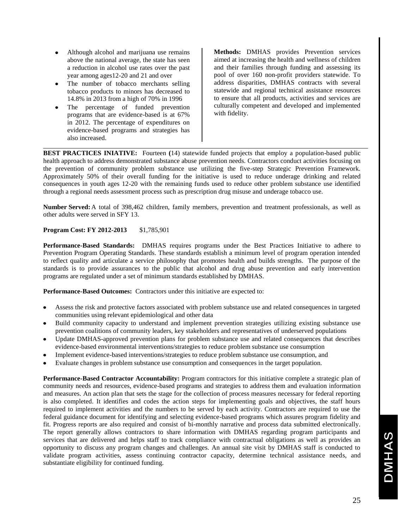- Although alcohol and marijuana use remains above the national average, the state has seen a reduction in alcohol use rates over the past year among ages12-20 and 21 and over
- The number of tobacco merchants selling tobacco products to minors has decreased to 14.8% in 2013 from a high of 70% in 1996
- The percentage of funded prevention programs that are evidence-based is at 67% in 2012. The percentage of expenditures on evidence-based programs and strategies has also increased.

**Methods:** DMHAS provides Prevention services aimed at increasing the health and wellness of children and their families through funding and assessing its pool of over 160 non-profit providers statewide. To address disparities, DMHAS contracts with several statewide and regional technical assistance resources to ensure that all products, activities and services are culturally competent and developed and implemented with fidelity.

**BEST PRACTICES INIATIVE:** Fourteen **(**14) statewide funded projects that employ a population-based public health approach to address demonstrated substance abuse prevention needs. Contractors conduct activities focusing on the prevention of community problem substance use utilizing the five-step Strategic Prevention Framework. Approximately 50% of their overall funding for the initiative is used to reduce underage drinking and related consequences in youth ages 12-20 with the remaining funds used to reduce other problem substance use identified through a regional needs assessment process such as prescription drug misuse and underage tobacco use.

**Number Served:**A total of 398,462 children, family members, prevention and treatment professionals, as well as other adults were served in SFY 13.

# **Program Cost: FY 2012-2013** \$1,785,901

**Performance-Based Standards:** DMHAS requires programs under the Best Practices Initiative to adhere to Prevention Program Operating Standards. These standards establish a minimum level of program operation intended to reflect quality and articulate a service philosophy that promotes health and builds strengths. The purpose of the standards is to provide assurances to the public that alcohol and drug abuse prevention and early intervention programs are regulated under a set of minimum standards established by DMHAS.

**Performance-Based Outcomes:** Contractors under this initiative are expected to:

- Assess the risk and protective factors associated with problem substance use and related consequences in targeted communities using relevant epidemiological and other data
- Build community capacity to understand and implement prevention strategies utilizing existing substance use prevention coalitions of community leaders, key stakeholders and representatives of underserved populations
- Update DMHAS-approved prevention plans for problem substance use and related consequences that describes evidence-based environmental interventions/strategies to reduce problem substance use consumption
- Implement evidence-based interventions/strategies to reduce problem substance use consumption, and
- Evaluate changes in problem substance use consumption and consequences in the target population.

**Performance-Based Contractor Accountability:** Program contractors for this initiative complete a strategic plan of community needs and resources, evidence-based programs and strategies to address them and evaluation information and measures. An action plan that sets the stage for the collection of process measures necessary for federal reporting is also completed. It identifies and codes the action steps for implementing goals and objectives, the staff hours required to implement activities and the numbers to be served by each activity. Contractors are required to use the federal guidance document for identifying and selecting evidence-based programs which assures program fidelity and fit. Progress reports are also required and consist of bi-monthly narrative and process data submitted electronically. The report generally allows contractors to share information with DMHAS regarding program participants and services that are delivered and helps staff to track compliance with contractual obligations as well as provides an opportunity to discuss any program changes and challenges. An annual site visit by DMHAS staff is conducted to validate program activities, assess continuing contractor capacity, determine technical assistance needs, and substantiate eligibility for continued funding.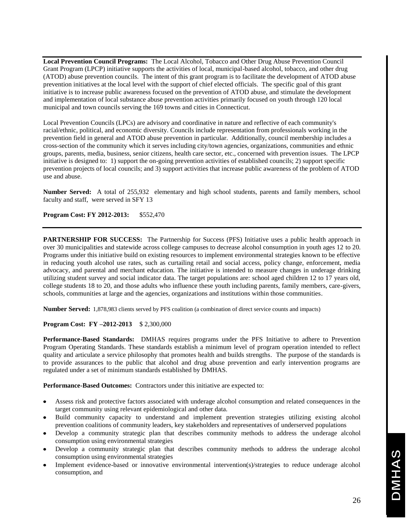**Local Prevention Council Programs:** The Local Alcohol, Tobacco and Other Drug Abuse Prevention Council Grant Program (LPCP) initiative supports the activities of local, municipal-based alcohol, tobacco, and other drug (ATOD) abuse prevention councils. The intent of this grant program is to facilitate the development of ATOD abuse prevention initiatives at the local level with the support of chief elected officials. The specific goal of this grant initiative is to increase public awareness focused on the prevention of ATOD abuse, and stimulate the development and implementation of local substance abuse prevention activities primarily focused on youth through 120 local municipal and town councils serving the 169 towns and cities in Connecticut.

Local Prevention Councils (LPCs) are advisory and coordinative in nature and reflective of each community's racial/ethnic, political, and economic diversity. Councils include representation from professionals working in the prevention field in general and ATOD abuse prevention in particular. Additionally, council membership includes a cross-section of the community which it serves including city/town agencies, organizations, communities and ethnic groups, parents, media, business, senior citizens, health care sector, etc., concerned with prevention issues. The LPCP initiative is designed to: 1) support the on-going prevention activities of established councils; 2) support specific prevention projects of local councils; and 3) support activities that increase public awareness of the problem of ATOD use and abuse.

**Number Served:** A total of 255,932 elementary and high school students, parents and family members, school faculty and staff, were served in SFY 13

**Program Cost: FY 2012-2013:** \$552,470

**PARTNERSHIP FOR SUCCESS:** The Partnership for Success (PFS) Initiative uses a public health approach in over 30 municipalities and statewide across college campuses to decrease alcohol consumption in youth ages 12 to 20. Programs under this initiative build on existing resources to implement environmental strategies known to be effective in reducing youth alcohol use rates, such as curtailing retail and social access, policy change, enforcement, media advocacy, and parental and merchant education. The initiative is intended to measure changes in underage drinking utilizing student survey and social indicator data. The target populations are: school aged children 12 to 17 years old, college students 18 to 20, and those adults who influence these youth including parents, family members, care-givers, schools, communities at large and the agencies, organizations and institutions within those communities.

**Number Served:** 1,878,983 clients served by PFS coalition (a combination of direct service counts and impacts)

### **Program Cost: FY –2012-2013** \$ 2,300,000

**Performance-Based Standards:** DMHAS requires programs under the PFS Initiative to adhere to Prevention Program Operating Standards. These standards establish a minimum level of program operation intended to reflect quality and articulate a service philosophy that promotes health and builds strengths. The purpose of the standards is to provide assurances to the public that alcohol and drug abuse prevention and early intervention programs are regulated under a set of minimum standards established by DMHAS.

**Performance-Based Outcomes:** Contractors under this initiative are expected to:

- Assess risk and protective factors associated with underage alcohol consumption and related consequences in the target community using relevant epidemiological and other data.
- Build community capacity to understand and implement prevention strategies utilizing existing alcohol prevention coalitions of community leaders, key stakeholders and representatives of underserved populations
- Develop a community strategic plan that describes community methods to address the underage alcohol consumption using environmental strategies
- Develop a community strategic plan that describes community methods to address the underage alcohol consumption using environmental strategies
- Implement evidence-based or innovative environmental intervention(s)/strategies to reduce underage alcohol consumption, and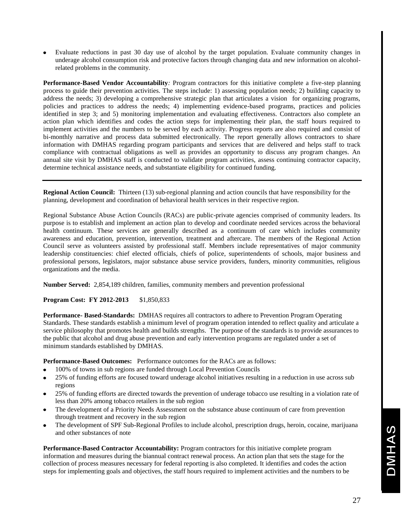Evaluate reductions in past 30 day use of alcohol by the target population. Evaluate community changes in underage alcohol consumption risk and protective factors through changing data and new information on alcoholrelated problems in the community.

**Performance-Based Vendor Accountability***:* Program contractors for this initiative complete a five-step planning process to guide their prevention activities. The steps include: 1) assessing population needs; 2) building capacity to address the needs; 3) developing a comprehensive strategic plan that articulates a vision for organizing programs, policies and practices to address the needs; 4) implementing evidence-based programs, practices and policies identified in step 3; and 5) monitoring implementation and evaluating effectiveness. Contractors also complete an action plan which identifies and codes the action steps for implementing their plan, the staff hours required to implement activities and the numbers to be served by each activity. Progress reports are also required and consist of bi-monthly narrative and process data submitted electronically. The report generally allows contractors to share information with DMHAS regarding program participants and services that are delivered and helps staff to track compliance with contractual obligations as well as provides an opportunity to discuss any program changes. An annual site visit by DMHAS staff is conducted to validate program activities, assess continuing contractor capacity, determine technical assistance needs, and substantiate eligibility for continued funding.

**Regional Action Council:** Thirteen (13) sub-regional planning and action councils that have responsibility for the planning, development and coordination of behavioral health services in their respective region.

Regional Substance Abuse Action Councils (RACs) are public-private agencies comprised of community leaders. Its purpose is to establish and implement an action plan to develop and coordinate needed services across the behavioral health continuum. These services are generally described as a continuum of care which includes community awareness and education, prevention, intervention, treatment and aftercare. The members of the Regional Action Council serve as volunteers assisted by professional staff. Members include representatives of major community leadership constituencies: chief elected officials, chiefs of police, superintendents of schools, major business and professional persons, legislators, major substance abuse service providers, funders, minority communities, religious organizations and the media.

**Number Served:** 2,854,189 children, families, community members and prevention professional

**Program Cost: FY 2012-2013** \$1,850,833

**Performance- Based-Standards:** DMHAS requires all contractors to adhere to Prevention Program Operating Standards. These standards establish a minimum level of program operation intended to reflect quality and articulate a service philosophy that promotes health and builds strengths. The purpose of the standards is to provide assurances to the public that alcohol and drug abuse prevention and early intervention programs are regulated under a set of minimum standards established by DMHAS.

**Performance-Based Outcomes:** Performance outcomes for the RACs are as follows:

- 100% of towns in sub regions are funded through Local Prevention Councils
- $\bullet$ 25% of funding efforts are focused toward underage alcohol initiatives resulting in a reduction in use across sub regions
- 25% of funding efforts are directed towards the prevention of underage tobacco use resulting in a violation rate of less than 20% among tobacco retailers in the sub region
- The development of a Priority Needs Assessment on the substance abuse continuum of care from prevention through treatment and recovery in the sub region
- The development of SPF Sub-Regional Profiles to include alcohol, prescription drugs, heroin, cocaine, marijuana and other substances of note

**Performance-Based Contractor Accountability:** Program contractors for this initiative complete program information and measures during the biannual contract renewal process. An action plan that sets the stage for the collection of process measures necessary for federal reporting is also completed. It identifies and codes the action steps for implementing goals and objectives, the staff hours required to implement activities and the numbers to be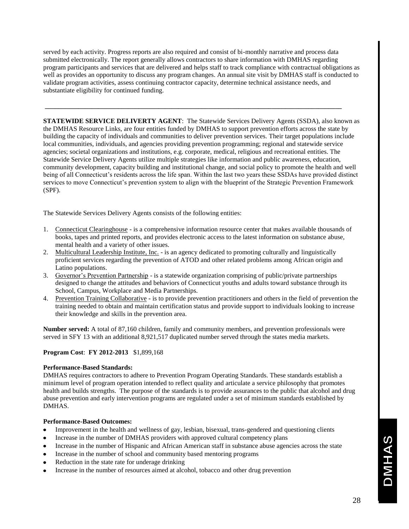served by each activity. Progress reports are also required and consist of bi-monthly narrative and process data submitted electronically. The report generally allows contractors to share information with DMHAS regarding program participants and services that are delivered and helps staff to track compliance with contractual obligations as well as provides an opportunity to discuss any program changes. An annual site visit by DMHAS staff is conducted to validate program activities, assess continuing contractor capacity, determine technical assistance needs, and substantiate eligibility for continued funding.

**\_\_\_\_\_\_\_\_\_\_\_\_\_\_\_\_\_\_\_\_\_\_\_\_\_\_\_\_\_\_\_\_\_\_\_\_\_\_\_\_\_\_\_\_\_\_\_\_\_\_\_\_\_\_\_\_\_\_\_\_\_\_\_\_\_\_\_\_\_\_\_\_\_\_\_\_\_\_\_\_\_\_\_\_\_\_\_\_\_**

**STATEWIDE SERVICE DELIVERTY AGENT**: The Statewide Services Delivery Agents (SSDA), also known as the DMHAS Resource Links, are four entities funded by DMHAS to support prevention efforts across the state by building the capacity of individuals and communities to deliver prevention services. Their target populations include local communities, individuals, and agencies providing prevention programming; regional and statewide service agencies; societal organizations and institutions, e.g. corporate, medical, religious and recreational entities. The Statewide Service Delivery Agents utilize multiple strategies like information and public awareness, education, community development, capacity building and institutional change, and social policy to promote the health and well being of all Connecticut's residents across the life span. Within the last two years these SSDAs have provided distinct services to move Connecticut's prevention system to align with the blueprint of the Strategic Prevention Framework (SPF).

The Statewide Services Delivery Agents consists of the following entities:

- 1. Connecticut Clearinghouse is a comprehensive information resource center that makes available thousands of books, tapes and printed reports, and provides electronic access to the latest information on substance abuse, mental health and a variety of other issues.
- 2. Multicultural Leadership Institute, Inc. is an agency dedicated to promoting culturally and linguistically proficient services regarding the prevention of ATOD and other related problems among African origin and Latino populations.
- 3. Governor's Prevention Partnership is a statewide organization comprising of public/private partnerships designed to change the attitudes and behaviors of Connecticut youths and adults toward substance through its School, Campus, Workplace and Media Partnerships.
- 4. Prevention Training Collaborative **-** is to provide prevention practitioners and others in the field of prevention the training needed to obtain and maintain certification status and provide support to individuals looking to increase their knowledge and skills in the prevention area.

**Number served:** A total of 87,160 children, family and community members, and prevention professionals were served in SFY 13 with an additional 8,921,517 duplicated number served through the states media markets.

# **Program Cost**: **FY 2012-2013** \$1,899,168

# **Performance-Based Standards:**

DMHAS requires contractors to adhere to Prevention Program Operating Standards. These standards establish a minimum level of program operation intended to reflect quality and articulate a service philosophy that promotes health and builds strengths. The purpose of the standards is to provide assurances to the public that alcohol and drug abuse prevention and early intervention programs are regulated under a set of minimum standards established by DMHAS.

# **Performance-Based Outcomes:**

- Improvement in the health and wellness of gay, lesbian, bisexual, trans-gendered and questioning clients
- Increase in the number of DMHAS providers with approved cultural competency plans
- Increase in the number of Hispanic and African American staff in substance abuse agencies across the state
- Increase in the number of school and community based mentoring programs
- Reduction in the state rate for underage drinking
- Increase in the number of resources aimed at alcohol, tobacco and other drug prevention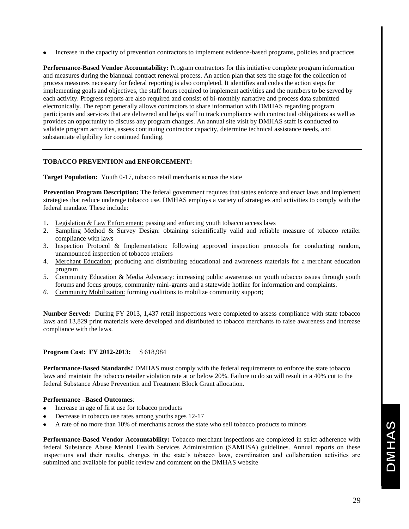• Increase in the capacity of prevention contractors to implement evidence-based programs, policies and practices

**Performance-Based Vendor Accountability:** Program contractors for this initiative complete program information and measures during the biannual contract renewal process. An action plan that sets the stage for the collection of process measures necessary for federal reporting is also completed. It identifies and codes the action steps for implementing goals and objectives, the staff hours required to implement activities and the numbers to be served by each activity. Progress reports are also required and consist of bi-monthly narrative and process data submitted electronically. The report generally allows contractors to share information with DMHAS regarding program participants and services that are delivered and helps staff to track compliance with contractual obligations as well as provides an opportunity to discuss any program changes. An annual site visit by DMHAS staff is conducted to validate program activities, assess continuing contractor capacity, determine technical assistance needs, and substantiate eligibility for continued funding.

# **TOBACCO PREVENTION and ENFORCEMENT:**

**Target Population:** Youth 0-17, tobacco retail merchants across the state

**Prevention Program Description:** The federal government requires that states enforce and enact laws and implement strategies that reduce underage tobacco use. DMHAS employs a variety of strategies and activities to comply with the federal mandate. These include:

- 1. Legislation & Law Enforcement: passing and enforcing youth tobacco access laws
- 2. Sampling Method & Survey Design: obtaining scientifically valid and reliable measure of tobacco retailer compliance with laws
- 3. Inspection Protocol & Implementation: following approved inspection protocols for conducting random, unannounced inspection of tobacco retailers
- 4. Merchant Education: producing and distributing educational and awareness materials for a merchant education program
- 5. Community Education & Media Advocacy: increasing public awareness on youth tobacco issues through youth forums and focus groups, community mini-grants and a statewide hotline for information and complaints.
- *6.* Community Mobilization: forming coalitions to mobilize community support;

**Number Served:** During FY 2013, 1,437 retail inspections were completed to assess compliance with state tobacco laws and 13,829 print materials were developed and distributed to tobacco merchants to raise awareness and increase compliance with the laws.

# **Program Cost: FY 2012-2013:** \$ 618,984

**Performance-Based Standards***:* DMHAS must comply with the federal requirements to enforce the state tobacco laws and maintain the tobacco retailer violation rate at or below 20%. Failure to do so will result in a 40% cut to the federal Substance Abuse Prevention and Treatment Block Grant allocation.

# **Performance –Based Outcomes***:*

- Increase in age of first use for tobacco products
- Decrease in tobacco use rates among youths ages 12-17
- A rate of no more than 10% of merchants across the state who sell tobacco products to minors

**Performance-Based Vendor Accountability:** Tobacco merchant inspections are completed in strict adherence with federal Substance Abuse Mental Health Services Administration (SAMHSA) guidelines. Annual reports on these inspections and their results, changes in the state's tobacco laws, coordination and collaboration activities are submitted and available for public review and comment on the DMHAS website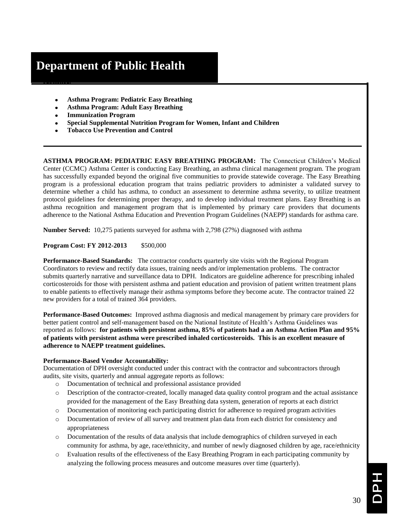# **Department of Public Health**

- **Asthma Program: Pediatric Easy Breathing**
- **Asthma Program: Adult Easy Breathing**
- **Immunization Program**
- **Special Supplemental Nutrition Program for Women, Infant and Children**
- **Tobacco Use Prevention and Control**

**ASTHMA PROGRAM: PEDIATRIC EASY BREATHING PROGRAM:** The Connecticut Children's Medical Center (CCMC) Asthma Center is conducting Easy Breathing, an asthma clinical management program. The program has successfully expanded beyond the original five communities to provide statewide coverage. The Easy Breathing program is a professional education program that trains pediatric providers to administer a validated survey to determine whether a child has asthma, to conduct an assessment to determine asthma severity, to utilize treatment protocol guidelines for determining proper therapy, and to develop individual treatment plans. Easy Breathing is an asthma recognition and management program that is implemented by primary care providers that documents adherence to the National Asthma Education and Prevention Program Guidelines (NAEPP) standards for asthma care.

**Number Served:** 10,275 patients surveyed for asthma with 2,798 (27%) diagnosed with asthma

**Program Cost: FY 2012-2013** \$500,000

**Performance-Based Standards:** The contractor conducts quarterly site visits with the Regional Program Coordinators to review and rectify data issues, training needs and/or implementation problems. The contractor submits quarterly narrative and surveillance data to DPH. Indicators are guideline adherence for prescribing inhaled corticosteroids for those with persistent asthma and patient education and provision of patient written treatment plans to enable patients to effectively manage their asthma symptoms before they become acute. The contractor trained 22 new providers for a total of trained 364 providers.

**Performance-Based Outcomes:** Improved asthma diagnosis and medical management by primary care providers for better patient control and self-management based on the National Institute of Health's Asthma Guidelines was reported as follows: **for patients with persistent asthma, 85% of patients had a an Asthma Action Plan and 95% of patients with persistent asthma were prescribed inhaled corticosteroids. This is an excellent measure of adherence to NAEPP treatment guidelines.** 

# **Performance-Based Vendor Accountability:**

Documentation of DPH oversight conducted under this contract with the contractor and subcontractors through audits, site visits, quarterly and annual aggregate reports as follows:

- o Documentation of technical and professional assistance provided
- o Description of the contractor-created, locally managed data quality control program and the actual assistance provided for the management of the Easy Breathing data system, generation of reports at each district
- o Documentation of monitoring each participating district for adherence to required program activities
- o Documentation of review of all survey and treatment plan data from each district for consistency and appropriateness
- o Documentation of the results of data analysis that include demographics of children surveyed in each community for asthma, by age, race/ethnicity, and number of newly diagnosed children by age, race/ethnicity
- o Evaluation results of the effectiveness of the Easy Breathing Program in each participating community by analyzing the following process measures and outcome measures over time (quarterly).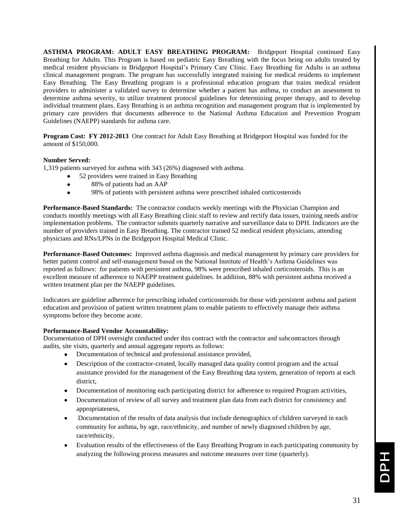**ASTHMA PROGRAM: ADULT EASY BREATHING PROGRAM:** Bridgeport Hospital continued Easy Breathing for Adults. This Program is based on pediatric Easy Breathing with the focus being on adults treated by medical resident physicians in Bridgeport Hospital's Primary Care Clinic. Easy Breathing for Adults is an asthma clinical management program. The program has successfully integrated training for medical residents to implement Easy Breathing. The Easy Breathing program is a professional education program that trains medical resident providers to administer a validated survey to determine whether a patient has asthma, to conduct an assessment to determine asthma severity, to utilize treatment protocol guidelines for determining proper therapy, and to develop individual treatment plans. Easy Breathing is an asthma recognition and management program that is implemented by primary care providers that documents adherence to the National Asthma Education and Prevention Program Guidelines (NAEPP) standards for asthma care.

**Program Cost: FY 2012-2013** One contract for Adult Easy Breathing at Bridgeport Hospital was funded for the amount of \$150,000.

# **Number Served:**

1,319 patients surveyed for asthma with 343 (26%) diagnosed with asthma.

- 52 providers were trained in Easy Breathing
- 88% of patients had an AAP  $\bullet$
- 98% of patients with persistent asthma were prescribed inhaled corticosteroids  $\bullet$

**Performance-Based Standards:** The contractor conducts weekly meetings with the Physician Champion and conducts monthly meetings with all Easy Breathing clinic staff to review and rectify data issues, training needs and/or implementation problems. The contractor submits quarterly narrative and surveillance data to DPH. Indicators are the number of providers trained in Easy Breathing. The contractor trained 52 medical resident physicians, attending physicians and RNs/LPNs in the Bridgeport Hospital Medical Clinic.

**Performance-Based Outcomes:** Improved asthma diagnosis and medical management by primary care providers for better patient control and self-management based on the National Institute of Health's Asthma Guidelines was reported as follows: for patients with persistent asthma, 98% were prescribed inhaled corticosteroids. This is an excellent measure of adherence to NAEPP treatment guidelines. In addition, 88% with persistent asthma received a written treatment plan per the NAEPP guidelines.

Indicators are guideline adherence for prescribing inhaled corticosteroids for those with persistent asthma and patient education and provision of patient written treatment plans to enable patients to effectively manage their asthma symptoms before they become acute.

# **Performance-Based Vendor Accountability:**

Documentation of DPH oversight conducted under this contract with the contractor and subcontractors through audits, site visits, quarterly and annual aggregate reports as follows:

- Documentation of technical and professional assistance provided,
- $\bullet$ Description of the contractor-created, locally managed data quality control program and the actual assistance provided for the management of the Easy Breathing data system, generation of reports at each district,
- Documentation of monitoring each participating district for adherence to required Program activities,  $\bullet$
- Documentation of review of all survey and treatment plan data from each district for consistency and appropriateness,
- Documentation of the results of data analysis that include demographics of children surveyed in each community for asthma, by age, race/ethnicity, and number of newly diagnosed children by age, race/ethnicity,
- Evaluation results of the effectiveness of the Easy Breathing Program in each participating community by analyzing the following process measures and outcome measures over time (quarterly).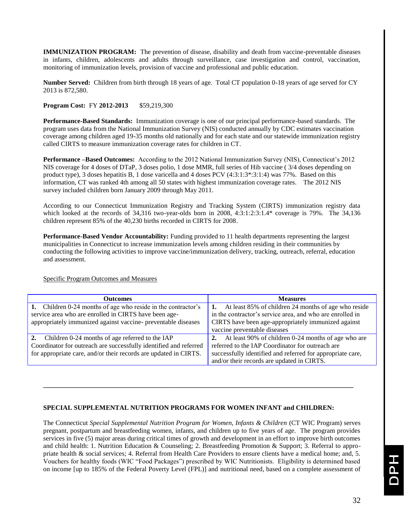**IMMUNIZATION PROGRAM:** The prevention of disease, disability and death from vaccine-preventable diseases in infants, children, adolescents and adults through surveillance, case investigation and control, vaccination, monitoring of immunization levels, provision of vaccine and professional and public education.

**Number Served:** Children from birth through 18 years of age. Total CT population 0-18 years of age served for CY 2013 is 872,580.

**Program Cost:** FY **2012-2013** \$59,219,300

**Performance-Based Standards:** Immunization coverage is one of our principal performance-based standards. The program uses data from the National Immunization Survey (NIS) conducted annually by CDC estimates vaccination coverage among children aged 19-35 months old nationally and for each state and our statewide immunization registry called CIRTS to measure immunization coverage rates for children in CT.

**Performance –Based Outcomes:** According to the 2012 National Immunization Survey (NIS), Connecticut's 2012 NIS coverage for 4 doses of DTaP, 3 doses polio, 1 dose MMR, full series of Hib vaccine ( 3/4 doses depending on product type), 3 doses hepatitis B, 1 dose varicella and 4 doses PCV (4:3:1:3\*:3:1:4) was 77%. Based on this information, CT was ranked 4th among all 50 states with highest immunization coverage rates. The 2012 NIS survey included children born January 2009 through May 2011.

According to our Connecticut Immunization Registry and Tracking System (CIRTS) immunization registry data which looked at the records of 34,316 two-year-olds born in 2008, 4:3:1:2:3:1.4\* coverage is 79%. The 34,136 children represent 85% of the 40,230 births recorded in CIRTS for 2008.

**Performance-Based Vendor Accountability:** Funding provided to 11 health departments representing the largest municipalities in Connecticut to increase immunization levels among children residing in their communities by conducting the following activities to improve vaccine/immunization delivery, tracking, outreach, referral, education and assessment.

Specific Program Outcomes and Measures

| <b>Outcomes</b>                                                                                                        | <b>Measures</b>                                                                                                   |
|------------------------------------------------------------------------------------------------------------------------|-------------------------------------------------------------------------------------------------------------------|
| 1. Children 0-24 months of age who reside in the contractor's<br>service area who are enrolled in CIRTS have been age- | At least 85% of children 24 months of age who reside<br>in the contractor's service area, and who are enrolled in |
| appropriately immunized against vaccine- preventable diseases                                                          | CIRTS have been age-appropriately immunized against                                                               |
|                                                                                                                        | vaccine preventable diseases                                                                                      |
| 2. Children 0-24 months of age referred to the IAP                                                                     | At least 90% of children 0-24 months of age who are<br>2.                                                         |
| Coordinator for outreach are successfully identified and referred                                                      | referred to the IAP Coordinator for outreach are                                                                  |
| for appropriate care, and/or their records are updated in CIRTS.                                                       | successfully identified and referred for appropriate care,                                                        |
|                                                                                                                        | and/or their records are updated in CIRTS.                                                                        |

**\_\_\_\_\_\_\_\_\_\_\_\_\_\_\_\_\_\_\_\_\_\_\_\_\_\_\_\_\_\_\_\_\_\_\_\_\_\_\_\_\_\_\_\_\_\_\_\_\_\_\_\_\_\_\_\_\_\_\_\_\_\_\_\_\_\_\_\_\_\_\_\_\_\_\_\_\_\_\_\_\_\_\_\_\_\_\_\_\_\_\_\_\_**

# **SPECIAL SUPPLEMENTAL NUTRITION PROGRAMS FOR WOMEN INFANT and CHILDREN:**

The Connecticut *Special Supplemental Nutrition Program for Women, Infants & Children* (CT WIC Program) serves pregnant, postpartum and breastfeeding women, infants, and children up to five years of age. The program provides services in five (5) major areas during critical times of growth and development in an effort to improve birth outcomes and child health: 1. Nutrition Education & Counseling; 2. Breastfeeding Promotion & Support; 3. Referral to appropriate health & social services; 4. Referral from Health Care Providers to ensure clients have a medical home; and, 5. Vouchers for healthy foods (WIC "Food Packages") prescribed by WIC Nutritionists. Eligibility is determined based on income [up to 185% of the Federal Poverty Level (FPL)] and nutritional need, based on a complete assessment of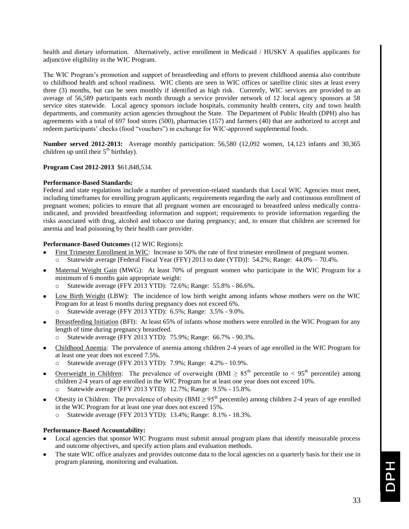health and dietary information. Alternatively, active enrollment in Medicaid / HUSKY A qualifies applicants for adjunctive eligibility in the WIC Program.

The WIC Program's promotion and support of breastfeeding and efforts to prevent childhood anemia also contribute to childhood health and school readiness. WIC clients are seen in WIC offices or satellite clinic sites at least every three (3) months, but can be seen monthly if identified as high risk. Currently, WIC services are provided to an average of 56,589 participants each month through a service provider network of 12 local agency sponsors at 58 service sites statewide. Local agency sponsors include hospitals, community health centers, city and town health departments, and community action agencies throughout the State. The Department of Public Health (DPH) also has agreements with a total of 697 food stores (500), pharmacies (157) and farmers (40) that are authorized to accept and redeem participants' checks (food "vouchers") in exchange for WIC-approved supplemental foods.

**Number served 2012-2013:** Average monthly participation: 56,580 (12,092 women, 14,123 infants and 30,365 children up until their  $5<sup>th</sup>$  birthday).

# **Program Cost 2012-2013** \$61,848,534.

# **Performance-Based Standards:**

Federal and state regulations include a number of prevention-related standards that Local WIC Agencies must meet, including timeframes for enrolling program applicants; requirements regarding the early and continuous enrollment of pregnant women; policies to ensure that all pregnant women are encouraged to breastfeed unless medically contraindicated, and provided breastfeeding information and support; requirements to provide information regarding the risks associated with drug, alcohol and tobacco use during pregnancy; and, to ensure that children are screened for anemia and lead poisoning by their health care provider.

# **Performance-Based Outcomes** (12 WIC Regions)**:**

- First Trimester Enrollment in WIC: Increase to 50% the rate of first trimester enrollment of pregnant women. Statewide average [Federal Fiscal Year (FFY) 2013 to date (YTD)]: 54.2%; Range: 44.0% – 70.4%.
- Maternal Weight Gain (MWG): At least 70% of pregnant women who participate in the WIC Program for a minimum of 6 months gain appropriate weight:
	- o Statewide average (FFY 2013 YTD): 72.6%; Range: 55.8% 86.6%.
- Low Birth Weight (LBW): The incidence of low birth weight among infants whose mothers were on the WIC Program for at least 6 months during pregnancy does not exceed 6%.
	- o Statewide average (FFY 2013 YTD): 6.5%; Range: 3.5% 9.0%.
- Breastfeeding Initiation (BFI): At least 65% of infants whose mothers were enrolled in the WIC Program for any length of time during pregnancy breastfeed.
	- Statewide average (FFY 2013 YTD): 75.9%; Range: 66.7% 90.3%.
- Childhood Anemia: The prevalence of anemia among children 2-4 years of age enrolled in the WIC Program for at least one year does not exceed 7.5%.
	- o Statewide average (FFY 2013 YTD): 7.9%; Range: 4.2% 10.9%.
- Overweight in Children: The prevalence of overweight (BMI  $\geq 85^{th}$  percentile to < 95<sup>th</sup> percentile) among children 2-4 years of age enrolled in the WIC Program for at least one year does not exceed 10%. o Statewide average (FFY 2013 YTD): 12.7%; Range: 9.5% - 15.8%.
- Obesity in Children: The prevalence of obesity (BMI  $\geq$  95<sup>th</sup> percentile) among children 2-4 years of age enrolled in the WIC Program for at least one year does not exceed 15%.
	- o Statewide average (FFY 2013 YTD): 13.4%; Range: 8.1% 18.3%.

# **Performance-Based Accountability:**

- Local agencies that sponsor WIC Programs must submit annual program plans that identify measurable process and outcome objectives, and specify action plans and evaluation methods.
- The state WIC office analyzes and provides outcome data to the local agencies on a quarterly basis for their use in program planning, monitoring and evaluation.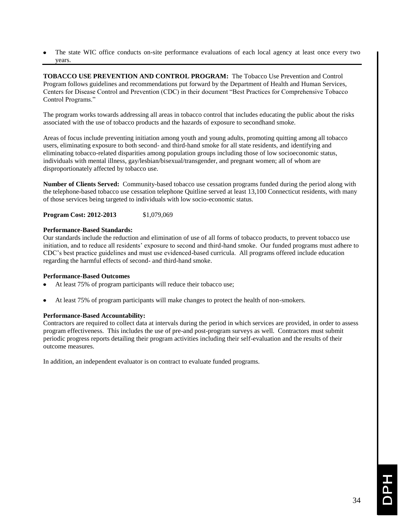The state WIC office conducts on-site performance evaluations of each local agency at least once every two years.

**TOBACCO USE PREVENTION AND CONTROL PROGRAM:** The Tobacco Use Prevention and Control Program follows guidelines and recommendations put forward by the Department of Health and Human Services, Centers for Disease Control and Prevention (CDC) in their document "Best Practices for Comprehensive Tobacco Control Programs."

The program works towards addressing all areas in tobacco control that includes educating the public about the risks associated with the use of tobacco products and the hazards of exposure to secondhand smoke.

Areas of focus include preventing initiation among youth and young adults, promoting quitting among all tobacco users, eliminating exposure to both second- and third-hand smoke for all state residents, and identifying and eliminating tobacco-related disparities among population groups including those of low socioeconomic status, individuals with mental illness, gay/lesbian/bisexual/transgender, and pregnant women; all of whom are disproportionately affected by tobacco use.

**Number of Clients Served:** Community-based tobacco use cessation programs funded during the period along with the telephone-based tobacco use cessation telephone Quitline served at least 13,100 Connecticut residents, with many of those services being targeted to individuals with low socio-economic status.

**Program Cost: 2012-2013** \$1,079,069

# **Performance-Based Standards:**

Our standards include the reduction and elimination of use of all forms of tobacco products, to prevent tobacco use initiation, and to reduce all residents' exposure to second and third-hand smoke. Our funded programs must adhere to CDC's best practice guidelines and must use evidenced-based curricula. All programs offered include education regarding the harmful effects of second- and third-hand smoke.

# **Performance-Based Outcomes**

- At least 75% of program participants will reduce their tobacco use;
- At least 75% of program participants will make changes to protect the health of non-smokers.

# **Performance-Based Accountability:**

Contractors are required to collect data at intervals during the period in which services are provided, in order to assess program effectiveness. This includes the use of pre-and post-program surveys as well. Contractors must submit periodic progress reports detailing their program activities including their self-evaluation and the results of their outcome measures.

In addition, an independent evaluator is on contract to evaluate funded programs.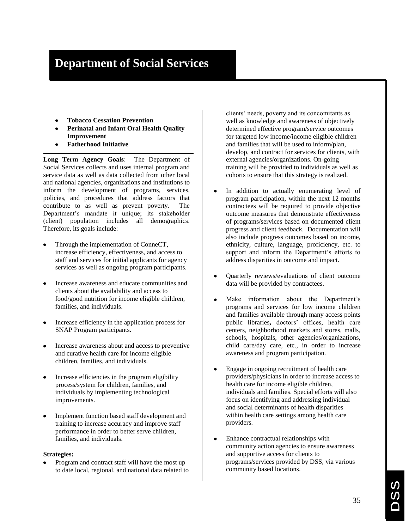# **Department of Social Services**

- **Tobacco Cessation Prevention**
- **Perinatal and Infant Oral Health Quality Improvement**
- **Fatherhood Initiative**

**Long Term Agency Goals**: The Department of Social Services collects and uses internal program and service data as well as data collected from other local and national agencies, organizations and institutions to inform the development of programs, services, policies, and procedures that address factors that contribute to as well as prevent poverty. The Department's mandate it unique; its stakeholder (client) population includes all demographics. Therefore, its goals include:

- Through the implementation of ConneCT, increase efficiency, effectiveness, and access to staff and services for initial applicants for agency services as well as ongoing program participants.
- Increase awareness and educate communities and clients about the availability and access to food/good nutrition for income eligible children, families, and individuals.
- Increase efficiency in the application process for SNAP Program participants.
- Increase awareness about and access to preventive and curative health care for income eligible children, families, and individuals.
- Increase efficiencies in the program eligibility process/system for children, families, and individuals by implementing technological improvements.
- Implement function based staff development and training to increase accuracy and improve staff performance in order to better serve children, families, and individuals.

# **Strategies:**

Program and contract staff will have the most up to date local, regional, and national data related to clients' needs, poverty and its concomitants as well as knowledge and awareness of objectively determined effective program/service outcomes for targeted low income/income eligible children and families that will be used to inform/plan, develop, and contract for services for clients, with external agencies/organizations. On-going training will be provided to individuals as well as cohorts to ensure that this strategy is realized.

- In addition to actually enumerating level of program participation, within the next 12 months contractees will be required to provide objective outcome measures that demonstrate effectiveness of programs/services based on documented client progress and client feedback. Documentation will also include progress outcomes based on income, ethnicity, culture, language, proficiency, etc. to support and inform the Department's efforts to address disparities in outcome and impact.
- Quarterly reviews/evaluations of client outcome data will be provided by contractees.
- Make information about the Department's programs and services for low income children and families available through many access points public libraries**,** doctors' offices, health care centers, neighborhood markets and stores, malls, schools, hospitals, other agencies/organizations, child care/day care, etc., in order to increase awareness and program participation.
- Engage in ongoing recruitment of health care providers/physicians in order to increase access to health care for income eligible children, individuals and families. Special efforts will also focus on identifying and addressing individual and social determinants of health disparities within health care settings among health care providers.
- Enhance contractual relationships with  $\bullet$ community action agencies to ensure awareness and supportive access for clients to programs/services provided by DSS, via various community based locations.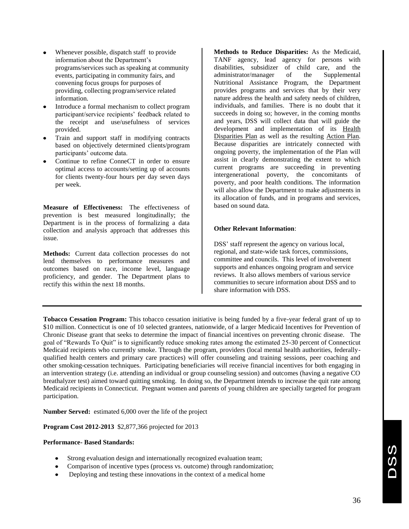- Whenever possible, dispatch staff to provide information about the Department's programs/services such as speaking at community events, participating in community fairs, and convening focus groups for purposes of providing, collecting program/service related information.
- Introduce a formal mechanism to collect program participant/service recipients' feedback related to the receipt and use/usefulness of services provided.
- Train and support staff in modifying contracts based on objectively determined clients/program participants' outcome data.
- Continue to refine ConneCT in order to ensure optimal access to accounts/setting up of accounts for clients twenty-four hours per day seven days per week.

**Measure of Effectiveness:** The effectiveness of prevention is best measured longitudinally; the Department is in the process of formalizing a data collection and analysis approach that addresses this issue.

**Methods:** Current data collection processes do not lend themselves to performance measures and outcomes based on race, income level, language proficiency, and gender. The Department plans to rectify this within the next 18 months.

**Methods to Reduce Disparities:** As the Medicaid, TANF agency, lead agency for persons with disabilities, subsidizer of child care, and the administrator/manager of the Supplemental Nutritional Assistance Program, the Department provides programs and services that by their very nature address the health and safety needs of children, individuals, and families. There is no doubt that it succeeds in doing so; however, in the coming months and years, DSS will collect data that will guide the development and implementation of its Health Disparities Plan as well as the resulting Action Plan. Because disparities are intricately connected with ongoing poverty, the implementation of the Plan will assist in clearly demonstrating the extent to which current programs are succeeding in preventing intergenerational poverty, the concomitants of poverty, and poor health conditions. The information will also allow the Department to make adjustments in its allocation of funds, and in programs and services, based on sound data.

# **Other Relevant Information**:

DSS' staff represent the agency on various local, regional, and state-wide task forces, commissions, committee and councils. This level of involvement supports and enhances ongoing program and service reviews. It also allows members of various service communities to secure information about DSS and to share information with DSS.

**Tobacco Cessation Program:** This tobacco cessation initiative is being funded by a five-year federal grant of up to \$10 million. Connecticut is one of 10 selected grantees, nationwide, of a larger Medicaid Incentives for Prevention of Chronic Disease grant that seeks to determine the impact of financial incentives on preventing chronic disease. The goal of "Rewards To Quit" is to significantly reduce smoking rates among the estimated 25-30 percent of Connecticut Medicaid recipients who currently smoke. Through the program, providers (local mental health authorities, federallyqualified health centers and primary care practices) will offer counseling and training sessions, peer coaching and other smoking-cessation techniques. Participating beneficiaries will receive financial incentives for both engaging in an intervention strategy (i.e. attending an individual or group counseling session) and outcomes (having a negative CO breathalyzer test) aimed toward quitting smoking. In doing so, the Department intends to increase the quit rate among Medicaid recipients in Connecticut. Pregnant women and parents of young children are specially targeted for program participation.

**Number Served:** estimated 6,000 over the life of the project

**Program Cost 2012-2013** \$2,877,366 projected for 2013

# **Performance- Based Standards:**

- Strong evaluation design and internationally recognized evaluation team;
- Comparison of incentive types (process vs. outcome) through randomization;
- Deploying and testing these innovations in the context of a medical home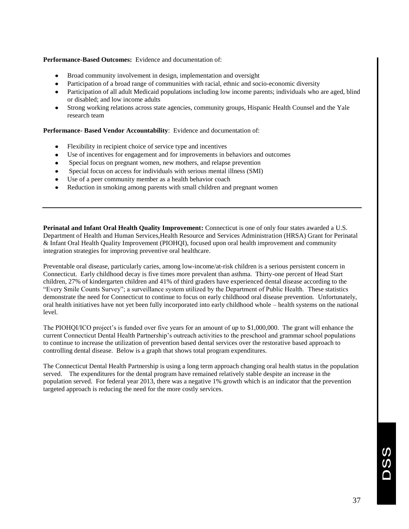# **Performance-Based Outcomes:** Evidence and documentation of:

- Broad community involvement in design, implementation and oversight
- Participation of a broad range of communities with racial, ethnic and socio-economic diversity
- Participation of all adult Medicaid populations including low income parents; individuals who are aged, blind or disabled; and low income adults
- Strong working relations across state agencies, community groups, Hispanic Health Counsel and the Yale research team

# **Performance- Based Vendor Accountability**: Evidence and documentation of:

- Flexibility in recipient choice of service type and incentives
- Use of incentives for engagement and for improvements in behaviors and outcomes
- Special focus on pregnant women, new mothers, and relapse prevention
- Special focus on access for individuals with serious mental illness (SMI)
- Use of a peer community member as a health behavior coach
- Reduction in smoking among parents with small children and pregnant women

**Perinatal and Infant Oral Health Quality Improvement:** Connecticut is one of only four states awarded a U.S. Department of Health and Human Services,Health Resource and Services Administration (HRSA) Grant for Perinatal & Infant Oral Health Quality Improvement (PIOHQI), focused upon oral health improvement and community integration strategies for improving preventive oral healthcare.

Preventable oral disease, particularly caries, among low-income/at-risk children is a serious persistent concern in Connecticut. Early childhood decay is five times more prevalent than asthma. Thirty-one percent of Head Start children, 27% of kindergarten children and 41% of third graders have experienced dental disease according to the ―Every Smile Counts Survey‖; a surveillance system utilized by the Department of Public Health. These statistics demonstrate the need for Connecticut to continue to focus on early childhood oral disease prevention. Unfortunately, oral health initiatives have not yet been fully incorporated into early childhood whole – health systems on the national level.

The PIOHQI/ICO project's is funded over five years for an amount of up to \$1,000,000. The grant will enhance the current Connecticut Dental Health Partnership's outreach activities to the preschool and grammar school populations to continue to increase the utilization of prevention based dental services over the restorative based approach to controlling dental disease. Below is a graph that shows total program expenditures.

The Connecticut Dental Health Partnership is using a long term approach changing oral health status in the population served. The expenditures for the dental program have remained relatively stable despite an increase in the population served. For federal year 2013, there was a negative 1% growth which is an indicator that the prevention targeted approach is reducing the need for the more costly services.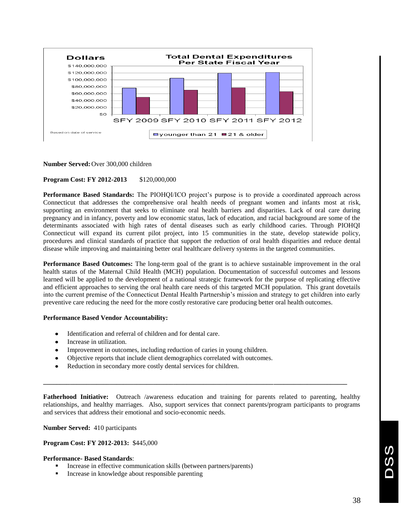

**Number Served:**Over 300,000 children

# **Program Cost: FY 2012-2013** \$120,000,000

**Performance Based Standards:** The PIOHQI/ICO project's purpose is to provide a coordinated approach across Connecticut that addresses the comprehensive oral health needs of pregnant women and infants most at risk, supporting an environment that seeks to eliminate oral health barriers and disparities. Lack of oral care during pregnancy and in infancy, poverty and low economic status, lack of education, and racial background are some of the determinants associated with high rates of dental diseases such as early childhood caries. Through PIOHQI Connecticut will expand its current pilot project, into 15 communities in the state, develop statewide policy, procedures and clinical standards of practice that support the reduction of oral health disparities and reduce dental disease while improving and maintaining better oral healthcare delivery systems in the targeted communities.

**Performance Based Outcomes:** The long-term goal of the grant is to achieve sustainable improvement in the oral health status of the Maternal Child Health (MCH) population. Documentation of successful outcomes and lessons learned will be applied to the development of a national strategic framework for the purpose of replicating effective and efficient approaches to serving the oral health care needs of this targeted MCH population. This grant dovetails into the current premise of the Connecticut Dental Health Partnership's mission and strategy to get children into early preventive care reducing the need for the more costly restorative care producing better oral health outcomes.

# **Performance Based Vendor Accountability:**

- Identification and referral of children and for dental care.
- Increase in utilization.
- Improvement in outcomes, including reduction of caries in young children.
- Objective reports that include client demographics correlated with outcomes.
- Reduction in secondary more costly dental services for children.

**Fatherhood Initiative:** Outreach /awareness education and training for parents related to parenting, healthy relationships, and healthy marriages. Also, support services that connect parents/program participants to programs and services that address their emotional and socio-economic needs.

**\_\_\_\_\_\_\_\_\_\_\_\_\_\_\_\_\_\_\_\_\_\_\_\_\_\_\_\_\_\_\_\_\_\_\_\_\_\_\_\_\_\_\_\_\_\_\_\_\_\_\_\_\_\_\_\_\_\_\_\_\_\_\_\_\_\_\_\_\_\_\_\_\_\_\_\_\_\_\_\_\_\_\_\_\_\_\_\_\_\_\_**

# **Number Served:** 410 participants

### **Program Cost: FY 2012-2013:** \$445,000

# **Performance- Based Standards**:

- Increase in effective communication skills (between partners/parents)
- Increase in knowledge about responsible parenting

U)<br>U)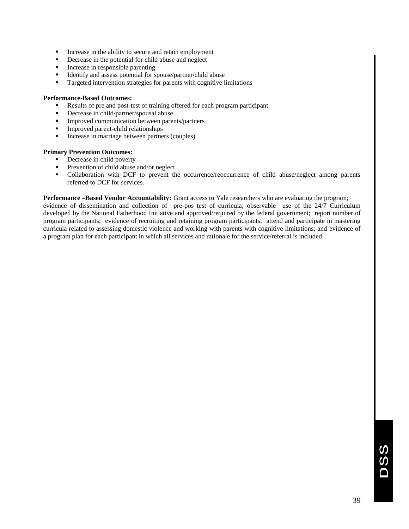- Increase in the ability to secure and retain employment
- Decrease in the potential for child abuse and neglect
- Increase in responsible parenting
- Identify and assess potential for spouse/partner/child abuse
- **Targeted intervention strategies for parents with cognitive limitations**

# **Performance-Based Outcomes:**

- Results of pre and post-test of training offered for each program participant
- Decrease in child/partner/spousal abuse
- **Improved communication between parents/partners**
- **Improved parent-child relationships**
- Increase in marriage between partners (couples)

# **Primary Prevention Outcomes:**

- Decrease in child poverty
- Prevention of child abuse and/or neglect
- Collaboration with DCF to prevent the occurrence/reoccurrence of child abuse/neglect among parents referred to DCF for services.

**Performance –Based Vendor Accountability:** Grant access to Yale researchers who are evaluating the program; evidence of dissemination and collection of pre-pos test of curricula; observable use of the 24/7 Curriculum developed by the National Fatherhood Initiative and approved/required by the federal government; report number of program participants; evidence of recruiting and retaining program participants; attend and participate in mastering curricula related to assessing domestic violence and working with parents with cognitive limitations; and evidence of a program plan for each participant in which all services and rationale for the service/referral is included.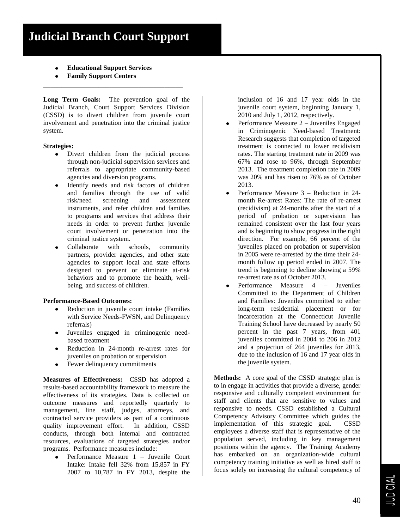- **Educational Support Services**
- **Family Support Centers**

**Long Term Goals:** The prevention goal of the Judicial Branch, Court Support Services Division (CSSD) is to divert children from juvenile court involvement and penetration into the criminal justice system.

**\_\_\_\_\_\_\_\_\_\_\_\_\_\_\_\_\_\_\_\_\_\_\_\_\_\_\_\_\_\_\_\_\_\_\_\_\_\_**

# **Strategies:**

- Divert children from the judicial process through non-judicial supervision services and referrals to appropriate community-based agencies and diversion programs.
- Identify needs and risk factors of children and families through the use of valid risk/need screening and assessment instruments, and refer children and families to programs and services that address their needs in order to prevent further juvenile court involvement or penetration into the criminal justice system.
- Collaborate with schools, community partners, provider agencies, and other state agencies to support local and state efforts designed to prevent or eliminate at-risk behaviors and to promote the health, wellbeing, and success of children.

# **Performance-Based Outcomes:**

- Reduction in juvenile court intake (Families with Service Needs-FWSN, and Delinquency referrals)
- Juveniles engaged in criminogenic needbased treatment
- Reduction in 24-month re-arrest rates for juveniles on probation or supervision
- Fewer delinquency commitments

**Measures of Effectiveness:** CSSD has adopted a results-based accountability framework to measure the effectiveness of its strategies. Data is collected on outcome measures and reportedly quarterly to management, line staff, judges, attorneys, and contracted service providers as part of a continuous quality improvement effort. In addition, CSSD conducts, through both internal and contracted resources, evaluations of targeted strategies and/or programs. Performance measures include:

Performance Measure 1 – Juvenile Court Intake: Intake fell 32% from 15,857 in FY 2007 to 10,787 in FY 2013, despite the

inclusion of 16 and 17 year olds in the juvenile court system, beginning January 1, 2010 and July 1, 2012, respectively.

- Performance Measure 2 Juveniles Engaged  $\bullet$ in Criminogenic Need-based Treatment: Research suggests that completion of targeted treatment is connected to lower recidivism rates. The starting treatment rate in 2009 was 67% and rose to 96%, through September 2013. The treatment completion rate in 2009 was 20% and has risen to 76% as of October 2013.
- Performance Measure 3 Reduction in 24-  $\bullet$ month Re-arrest Rates: The rate of re-arrest (recidivism) at 24-months after the start of a period of probation or supervision has remained consistent over the last four years and is beginning to show progress in the right direction. For example, 66 percent of the juveniles placed on probation or supervision in 2005 were re-arrested by the time their 24 month follow up period ended in 2007. The trend is beginning to decline showing a 59% re-arrest rate as of October 2013.
- Performance Measure 4 Juveniles Committed to the Department of Children and Families: Juveniles committed to either long-term residential placement or for incarceration at the Connecticut Juvenile Training School have decreased by nearly 50 percent in the past 7 years, from 401 juveniles committed in 2004 to 206 in 2012 and a projection of 264 juveniles for 2013, due to the inclusion of 16 and 17 year olds in the juvenile system.

**Methods:** A core goal of the CSSD strategic plan is to in engage in activities that provide a diverse, gender responsive and culturally competent environment for staff and clients that are sensitive to values and responsive to needs. CSSD established a Cultural Competency Advisory Committee which guides the implementation of this strategic goal. CSSD employees a diverse staff that is representative of the population served, including in key management positions within the agency. The Training Academy has embarked on an organization-wide cultural competency training initiative as well as hired staff to focus solely on increasing the cultural competency of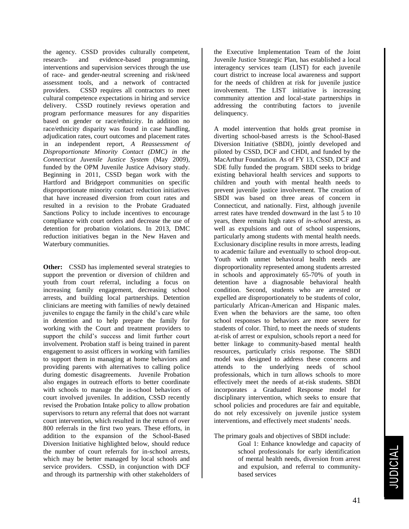the agency. CSSD provides culturally competent, research- and evidence-based programming, interventions and supervision services through the use of race- and gender-neutral screening and risk/need assessment tools, and a network of contracted providers. CSSD requires all contractors to meet cultural competence expectations in hiring and service delivery. CSSD routinely reviews operation and program performance measures for any disparities based on gender or race/ethnicity. In addition no race/ethnicity disparity was found in case handling, adjudication rates, court outcomes and placement rates in an independent report, *A Reassessment of Disproportionate Minority Contact (DMC) in the Connecticut Juvenile Justice System* (May 2009), funded by the OPM Juvenile Justice Advisory study. Beginning in 2011, CSSD began work with the Hartford and Bridgeport communities on specific disproportionate minority contact reduction initiatives that have increased diversion from court rates and resulted in a revision to the Probate Graduated Sanctions Policy to include incentives to encourage compliance with court orders and decrease the use of detention for probation violations. In 2013, DMC reduction initiatives began in the New Haven and Waterbury communities.

**Other:** CSSD has implemented several strategies to support the prevention or diversion of children and youth from court referral, including a focus on increasing family engagement, decreasing school arrests, and building local partnerships. Detention clinicians are meeting with families of newly detained juveniles to engage the family in the child's care while in detention and to help prepare the family for working with the Court and treatment providers to support the child's success and limit further court involvement. Probation staff is being trained in parent engagement to assist officers in working with families to support them in managing at home behaviors and providing parents with alternatives to calling police during domestic disagreements. Juvenile Probation also engages in outreach efforts to better coordinate with schools to manage the in-school behaviors of court involved juveniles. In addition, CSSD recently revised the Probation Intake policy to allow probation supervisors to return any referral that does not warrant court intervention, which resulted in the return of over 800 referrals in the first two years. These efforts, in addition to the expansion of the School-Based Diversion Initiative highlighted below, should reduce the number of court referrals for in-school arrests, which may be better managed by local schools and service providers. CSSD, in conjunction with DCF and through its partnership with other stakeholders of

the Executive Implementation Team of the Joint Juvenile Justice Strategic Plan, has established a local interagency services team (LIST) for each juvenile court district to increase local awareness and support for the needs of children at risk for juvenile justice involvement. The LIST initiative is increasing community attention and local-state partnerships in addressing the contributing factors to juvenile delinquency.

A model intervention that holds great promise in diverting school-based arrests is the School-Based Diversion Initiative (SBDI), jointly developed and piloted by CSSD, DCF and CHDI, and funded by the MacArthur Foundation. As of FY 13, CSSD, DCF and SDE fully funded the program. SBDI seeks to bridge existing behavioral health services and supports to children and youth with mental health needs to prevent juvenile justice involvement. The creation of SBDI was based on three areas of concern in Connecticut, and nationally. First, although juvenile arrest rates have trended downward in the last 5 to 10 years, there remain high rates of *in-school* arrests, as well as expulsions and out of school suspensions, particularly among students with mental health needs. Exclusionary discipline results in more arrests, leading to academic failure and eventually to school drop-out. Youth with unmet behavioral health needs are disproportionality represented among students arrested in schools and approximately 65-70% of youth in detention have a diagnosable behavioral health condition. Second, students who are arrested or expelled are disproportionately to be students of color, particularly African-American and Hispanic males. Even when the behaviors are the same, too often school responses to behaviors are more severe for students of color. Third, to meet the needs of students at-risk of arrest or expulsion, schools report a need for better linkage to community-based mental health resources, particularly crisis response. The SBDI model was designed to address these concerns and attends to the underlying needs of school professionals, which in turn allows schools to more effectively meet the needs of at-risk students. SBDI incorporates a Graduated Response model for disciplinary intervention, which seeks to ensure that school policies and procedures are fair and equitable, do not rely excessively on juvenile justice system interventions, and effectively meet students' needs.

# The primary goals and objectives of SBDI include:

Goal 1: Enhance knowledge and capacity of school professionals for early identification of mental health needs, diversion from arrest and expulsion, and referral to communitybased services

41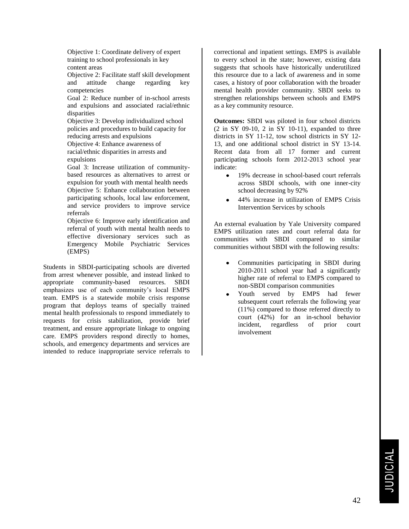Objective 1: Coordinate delivery of expert training to school professionals in key content areas

Objective 2: Facilitate staff skill development and attitude change regarding key competencies

Goal 2: Reduce number of in-school arrests and expulsions and associated racial/ethnic disparities

Objective 3: Develop individualized school policies and procedures to build capacity for reducing arrests and expulsions

Objective 4: Enhance awareness of racial/ethnic disparities in arrests and expulsions

Goal 3: Increase utilization of communitybased resources as alternatives to arrest or expulsion for youth with mental health needs Objective 5: Enhance collaboration between participating schools, local law enforcement, and service providers to improve service referrals

Objective 6: Improve early identification and referral of youth with mental health needs to effective diversionary services such as Emergency Mobile Psychiatric Services (EMPS)

Students in SBDI-participating schools are diverted from arrest whenever possible, and instead linked to appropriate community-based resources. SBDI emphasizes use of each community's local EMPS team. EMPS is a statewide mobile crisis response program that deploys teams of specially trained mental health professionals to respond immediately to requests for crisis stabilization, provide brief treatment, and ensure appropriate linkage to ongoing care. EMPS providers respond directly to homes, schools, and emergency departments and services are intended to reduce inappropriate service referrals to

correctional and inpatient settings. EMPS is available to every school in the state; however, existing data suggests that schools have historically underutilized this resource due to a lack of awareness and in some cases, a history of poor collaboration with the broader mental health provider community. SBDI seeks to strengthen relationships between schools and EMPS as a key community resource.

**Outcomes:** SBDI was piloted in four school districts (2 in SY 09-10, 2 in SY 10-11), expanded to three districts in SY 11-12, tow school districts in SY 12- 13, and one additional school district in SY 13-14. Recent data from all 17 former and current participating schools form 2012-2013 school year indicate:

- 19% decrease in school-based court referrals across SBDI schools, with one inner-city school decreasing by 92%
- $\bullet$ 44% increase in utilization of EMPS Crisis Intervention Services by schools

An external evaluation by Yale University compared EMPS utilization rates and court referral data for communities with SBDI compared to similar communities without SBDI with the following results:

- Communities participating in SBDI during 2010-2011 school year had a significantly higher rate of referral to EMPS compared to non-SBDI comparison communities
- Youth served by EMPS had fewer subsequent court referrals the following year (11%) compared to those referred directly to court (42%) for an in-school behavior incident, regardless of prior court involvement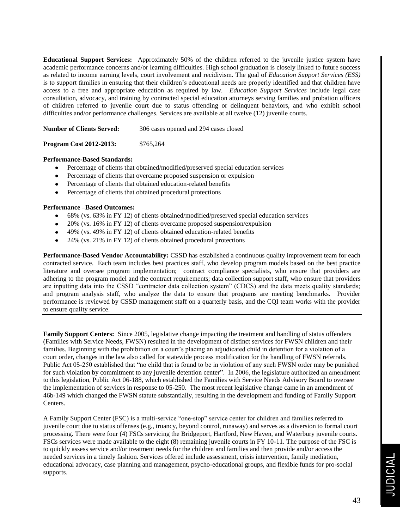**Educational Support Services:** Approximately 50% of the children referred to the juvenile justice system have academic performance concerns and/or learning difficulties. High school graduation is closely linked to future success as related to income earning levels, court involvement and recidivism. The goal of *Education Support Services (ESS)* is to support families in ensuring that their children's educational needs are properly identified and that children have access to a free and appropriate education as required by law. *Education Support Services* include legal case consultation, advocacy, and training by contracted special education attorneys serving families and probation officers of children referred to juvenile court due to status offending or delinquent behaviors, and who exhibit school difficulties and/or performance challenges. Services are available at all twelve (12) juvenile courts.

**Number of Clients Served:** 306 cases opened and 294 cases closed

**Program Cost 2012-2013:** \$765,264

# **Performance-Based Standards:**

- Percentage of clients that obtained/modified/preserved special education services
- Percentage of clients that overcame proposed suspension or expulsion
- Percentage of clients that obtained education-related benefits
- Percentage of clients that obtained procedural protections

# **Performance –Based Outcomes:**

- 68% (vs. 63% in FY 12) of clients obtained/modified/preserved special education services
- 20% (vs. 16% in FY 12) of clients overcame proposed suspension/expulsion
- 49% (vs. 49% in FY 12) of clients obtained education-related benefits
- 24% (vs. 21% in FY 12) of clients obtained procedural protections

**Performance-Based Vendor Accountability:** CSSD has established a continuous quality improvement team for each contracted service. Each team includes best practices staff, who develop program models based on the best practice literature and oversee program implementation; contract compliance specialists, who ensure that providers are adhering to the program model and the contract requirements; data collection support staff, who ensure that providers are inputting data into the CSSD "contractor data collection system" (CDCS) and the data meets quality standards; and program analysis staff, who analyze the data to ensure that programs are meeting benchmarks. Provider performance is reviewed by CSSD management staff on a quarterly basis, and the CQI team works with the provider to ensure quality service.

**Family Support Centers:** Since 2005, legislative change impacting the treatment and handling of status offenders (Families with Service Needs, FWSN) resulted in the development of distinct services for FWSN children and their families. Beginning with the prohibition on a court's placing an adjudicated child in detention for a violation of a court order, changes in the law also called for statewide process modification for the handling of FWSN referrals. Public Act 05-250 established that "no child that is found to be in violation of any such FWSN order may be punished for such violation by commitment to any juvenile detention center". In 2006, the legislature authorized an amendment to this legislation, Public Act 06-188, which established the Families with Service Needs Advisory Board to oversee the implementation of services in response to 05-250. The most recent legislative change came in an amendment of 46b-149 which changed the FWSN statute substantially, resulting in the development and funding of Family Support Centers.

A Family Support Center (FSC) is a multi-service "one-stop" service center for children and families referred to juvenile court due to status offenses (e.g., truancy, beyond control, runaway) and serves as a diversion to formal court processing. There were four (4) FSCs servicing the Bridgeport, Hartford, New Haven, and Waterbury juvenile courts. FSCs services were made available to the eight (8) remaining juvenile courts in FY 10-11. The purpose of the FSC is to quickly assess service and/or treatment needs for the children and families and then provide and/or access the needed services in a timely fashion. Services offered include assessment, crisis intervention, family mediation, educational advocacy, case planning and management, psycho-educational groups, and flexible funds for pro-social supports.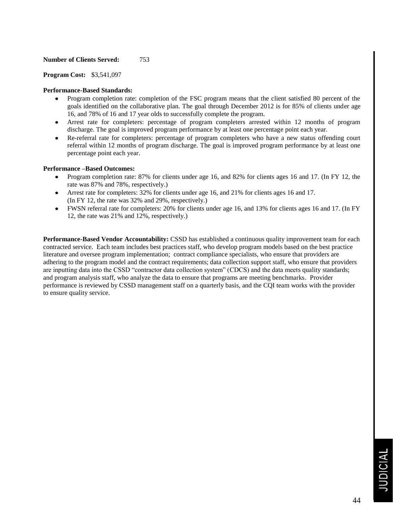# **Number of Clients Served:** 753

**Program Cost:** \$3,541,097

# **Performance-Based Standards:**

- Program completion rate: completion of the FSC program means that the client satisfied 80 percent of the goals identified on the collaborative plan. The goal through December 2012 is for 85% of clients under age 16, and 78% of 16 and 17 year olds to successfully complete the program.
- Arrest rate for completers: percentage of program completers arrested within 12 months of program discharge. The goal is improved program performance by at least one percentage point each year.
- Re-referral rate for completers: percentage of program completers who have a new status offending court referral within 12 months of program discharge. The goal is improved program performance by at least one percentage point each year.

# **Performance –Based Outcomes:**

- Program completion rate: 87% for clients under age 16, and 82% for clients ages 16 and 17. (In FY 12, the rate was 87% and 78%, respectively.)
- Arrest rate for completers: 32% for clients under age 16, and 21% for clients ages 16 and 17. (In FY 12, the rate was 32% and 29%, respectively.)
- FWSN referral rate for completers: 20% for clients under age 16, and 13% for clients ages 16 and 17. (In FY 12, the rate was 21% and 12%, respectively.)

**Performance-Based Vendor Accountability:** CSSD has established a continuous quality improvement team for each contracted service. Each team includes best practices staff, who develop program models based on the best practice literature and oversee program implementation; contract compliance specialists, who ensure that providers are adhering to the program model and the contract requirements; data collection support staff, who ensure that providers are inputting data into the CSSD "contractor data collection system" (CDCS) and the data meets quality standards; and program analysis staff, who analyze the data to ensure that programs are meeting benchmarks. Provider performance is reviewed by CSSD management staff on a quarterly basis, and the CQI team works with the provider to ensure quality service.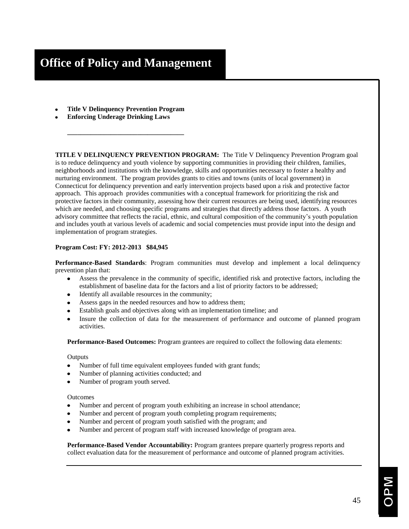**Title V Delinquency Prevention Program**

**\_\_\_\_\_\_\_\_\_\_\_\_\_\_\_\_\_\_\_\_\_\_\_\_\_\_\_\_\_\_\_\_\_\_\_**

**Enforcing Underage Drinking Laws**

**TITLE V DELINQUENCY PREVENTION PROGRAM:** The Title V Delinquency Prevention Program goal is to reduce delinquency and youth violence by supporting communities in providing their children, families, neighborhoods and institutions with the knowledge, skills and opportunities necessary to foster a healthy and nurturing environment. The program provides grants to cities and towns (units of local government) in Connecticut for delinquency prevention and early intervention projects based upon a risk and protective factor approach. This approach provides communities with a conceptual framework for prioritizing the risk and protective factors in their community, assessing how their current resources are being used, identifying resources which are needed, and choosing specific programs and strategies that directly address those factors. A youth advisory committee that reflects the racial, ethnic, and cultural composition of the community's youth population and includes youth at various levels of academic and social competencies must provide input into the design and implementation of program strategies.

# **Program Cost: FY: 2012-2013 \$84,945**

**Performance-Based Standards**: Program communities must develop and implement a local delinquency prevention plan that:

- Assess the prevalence in the community of specific, identified risk and protective factors, including the  $\bullet$ establishment of baseline data for the factors and a list of priority factors to be addressed;
- Identify all available resources in the community;
- Assess gaps in the needed resources and how to address them;
- Establish goals and objectives along with an implementation timeline; and
- Insure the collection of data for the measurement of performance and outcome of planned program activities.

**Performance-Based Outcomes:** Program grantees are required to collect the following data elements:

# **Outputs**

- Number of full time equivalent employees funded with grant funds;
- Number of planning activities conducted; and
- Number of program youth served.

# Outcomes

- Number and percent of program youth exhibiting an increase in school attendance;
- Number and percent of program youth completing program requirements;
- Number and percent of program youth satisfied with the program; and
- Number and percent of program staff with increased knowledge of program area.

**Performance-Based Vendor Accountability:** Program grantees prepare quarterly progress reports and collect evaluation data for the measurement of performance and outcome of planned program activities.

45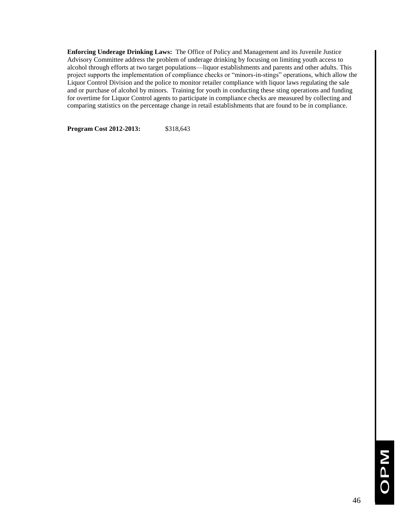**Enforcing Underage Drinking Laws:** The Office of Policy and Management and its Juvenile Justice Advisory Committee address the problem of underage drinking by focusing on limiting youth access to alcohol through efforts at two target populations—liquor establishments and parents and other adults. This project supports the implementation of compliance checks or "minors-in-stings" operations, which allow the Liquor Control Division and the police to monitor retailer compliance with liquor laws regulating the sale and or purchase of alcohol by minors. Training for youth in conducting these sting operations and funding for overtime for Liquor Control agents to participate in compliance checks are measured by collecting and comparing statistics on the percentage change in retail establishments that are found to be in compliance.

**Program Cost 2012-2013:** \$318,643